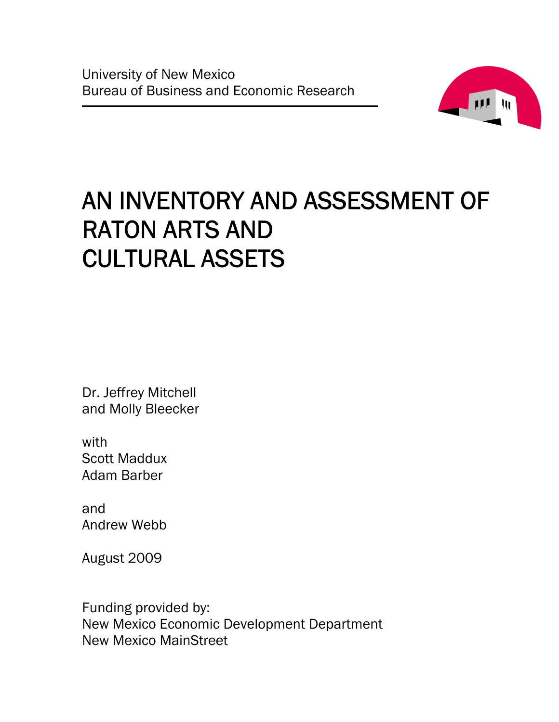

# AN INVENTORY AND ASSESSMENT OF RATON ARTS AND CULTURAL ASSETS

Dr. Jeffrey Mitchell and Molly Bleecker

with Scott Maddux Adam Barber

and Andrew Webb

August 2009

Funding provided by: New Mexico Economic Development Department New Mexico MainStreet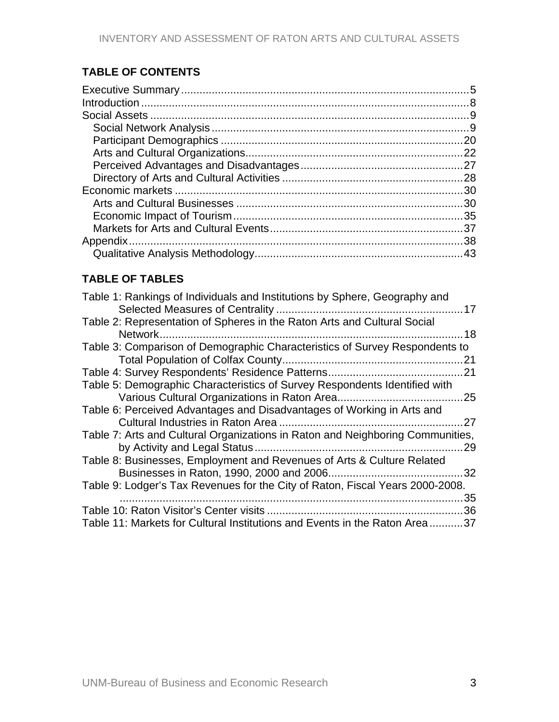# **TABLE OF CONTENTS**

# **TABLE OF TABLES**

| Table 1: Rankings of Individuals and Institutions by Sphere, Geography and     |  |
|--------------------------------------------------------------------------------|--|
| Table 2: Representation of Spheres in the Raton Arts and Cultural Social       |  |
| Network<br>18                                                                  |  |
| Table 3: Comparison of Demographic Characteristics of Survey Respondents to    |  |
|                                                                                |  |
|                                                                                |  |
| Table 5: Demographic Characteristics of Survey Respondents Identified with     |  |
|                                                                                |  |
| Table 6: Perceived Advantages and Disadvantages of Working in Arts and         |  |
| 27                                                                             |  |
| Table 7: Arts and Cultural Organizations in Raton and Neighboring Communities, |  |
| 29                                                                             |  |
| Table 8: Businesses, Employment and Revenues of Arts & Culture Related         |  |
| 32                                                                             |  |
| Table 9: Lodger's Tax Revenues for the City of Raton, Fiscal Years 2000-2008.  |  |
| 35                                                                             |  |
| 36                                                                             |  |
| Table 11: Markets for Cultural Institutions and Events in the Raton Area 37    |  |
|                                                                                |  |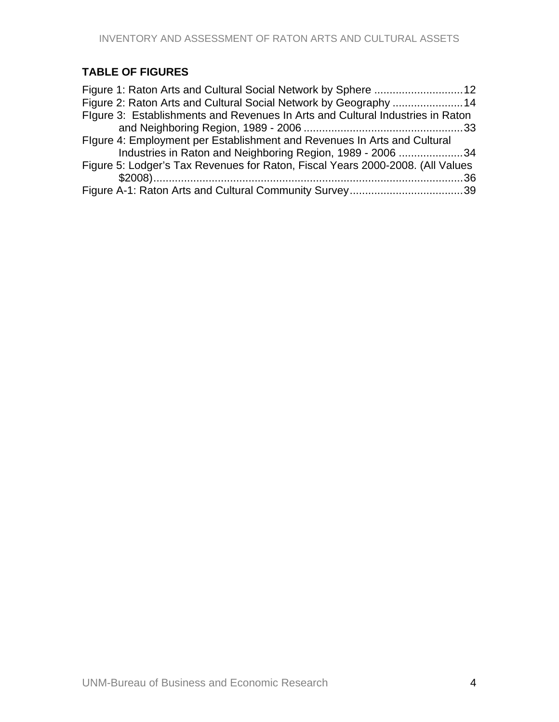# **TABLE OF FIGURES**

| Figure 3: Establishments and Revenues In Arts and Cultural Industries in Raton |  |
|--------------------------------------------------------------------------------|--|
|                                                                                |  |
| Figure 4: Employment per Establishment and Revenues In Arts and Cultural       |  |
| Industries in Raton and Neighboring Region, 1989 - 2006 34                     |  |
| Figure 5: Lodger's Tax Revenues for Raton, Fiscal Years 2000-2008. (All Values |  |
|                                                                                |  |
|                                                                                |  |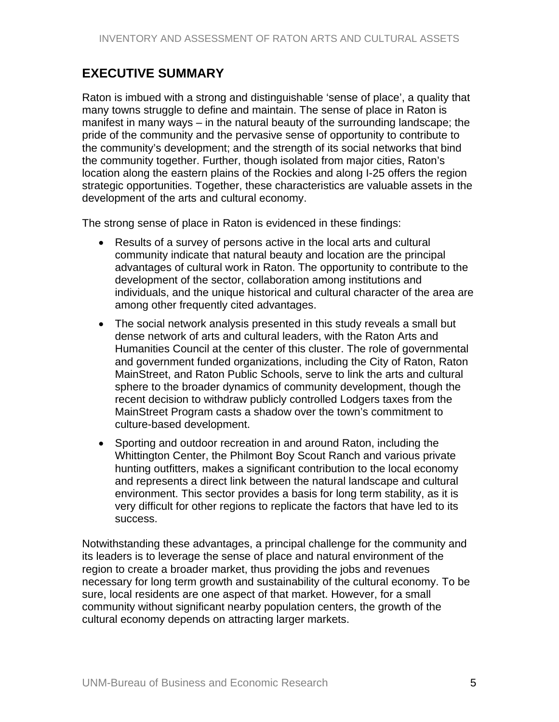# <span id="page-4-0"></span>**EXECUTIVE SUMMARY**

Raton is imbued with a strong and distinguishable 'sense of place', a quality that many towns struggle to define and maintain. The sense of place in Raton is manifest in many ways – in the natural beauty of the surrounding landscape; the pride of the community and the pervasive sense of opportunity to contribute to the community's development; and the strength of its social networks that bind the community together. Further, though isolated from major cities, Raton's location along the eastern plains of the Rockies and along I-25 offers the region strategic opportunities. Together, these characteristics are valuable assets in the development of the arts and cultural economy.

The strong sense of place in Raton is evidenced in these findings:

- Results of a survey of persons active in the local arts and cultural community indicate that natural beauty and location are the principal advantages of cultural work in Raton. The opportunity to contribute to the development of the sector, collaboration among institutions and individuals, and the unique historical and cultural character of the area are among other frequently cited advantages.
- The social network analysis presented in this study reveals a small but dense network of arts and cultural leaders, with the Raton Arts and Humanities Council at the center of this cluster. The role of governmental and government funded organizations, including the City of Raton, Raton MainStreet, and Raton Public Schools, serve to link the arts and cultural sphere to the broader dynamics of community development, though the recent decision to withdraw publicly controlled Lodgers taxes from the MainStreet Program casts a shadow over the town's commitment to culture-based development.
- Sporting and outdoor recreation in and around Raton, including the Whittington Center, the Philmont Boy Scout Ranch and various private hunting outfitters, makes a significant contribution to the local economy and represents a direct link between the natural landscape and cultural environment. This sector provides a basis for long term stability, as it is very difficult for other regions to replicate the factors that have led to its success.

Notwithstanding these advantages, a principal challenge for the community and its leaders is to leverage the sense of place and natural environment of the region to create a broader market, thus providing the jobs and revenues necessary for long term growth and sustainability of the cultural economy. To be sure, local residents are one aspect of that market. However, for a small community without significant nearby population centers, the growth of the cultural economy depends on attracting larger markets.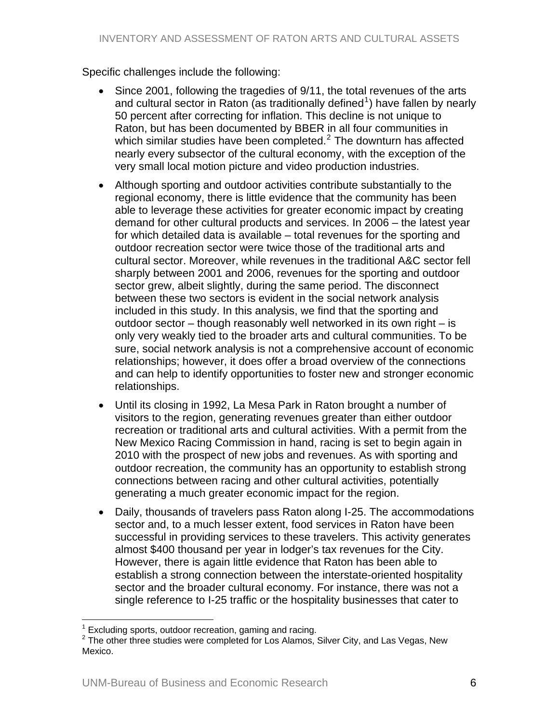## Specific challenges include the following:

- Since 2001, following the tragedies of 9/11, the total revenues of the arts and cultural sector in Raton (as traditionally defined<sup>[1](#page-5-0)</sup>) have fallen by nearly 50 percent after correcting for inflation. This decline is not unique to Raton, but has been documented by BBER in all four communities in which similar studies have been completed. $2$  The downturn has affected nearly every subsector of the cultural economy, with the exception of the very small local motion picture and video production industries.
- Although sporting and outdoor activities contribute substantially to the regional economy, there is little evidence that the community has been able to leverage these activities for greater economic impact by creating demand for other cultural products and services. In 2006 – the latest year for which detailed data is available – total revenues for the sporting and outdoor recreation sector were twice those of the traditional arts and cultural sector. Moreover, while revenues in the traditional A&C sector fell sharply between 2001 and 2006, revenues for the sporting and outdoor sector grew, albeit slightly, during the same period. The disconnect between these two sectors is evident in the social network analysis included in this study. In this analysis, we find that the sporting and outdoor sector – though reasonably well networked in its own right – is only very weakly tied to the broader arts and cultural communities. To be sure, social network analysis is not a comprehensive account of economic relationships; however, it does offer a broad overview of the connections and can help to identify opportunities to foster new and stronger economic relationships.
- Until its closing in 1992, La Mesa Park in Raton brought a number of visitors to the region, generating revenues greater than either outdoor recreation or traditional arts and cultural activities. With a permit from the New Mexico Racing Commission in hand, racing is set to begin again in 2010 with the prospect of new jobs and revenues. As with sporting and outdoor recreation, the community has an opportunity to establish strong connections between racing and other cultural activities, potentially generating a much greater economic impact for the region.
- Daily, thousands of travelers pass Raton along I-25. The accommodations sector and, to a much lesser extent, food services in Raton have been successful in providing services to these travelers. This activity generates almost \$400 thousand per year in lodger's tax revenues for the City. However, there is again little evidence that Raton has been able to establish a strong connection between the interstate-oriented hospitality sector and the broader cultural economy. For instance, there was not a single reference to I-25 traffic or the hospitality businesses that cater to

 $\overline{a}$  $1$  Excluding sports, outdoor recreation, gaming and racing.

<span id="page-5-1"></span><span id="page-5-0"></span> $2$  The other three studies were completed for Los Alamos, Silver City, and Las Vegas, New Mexico.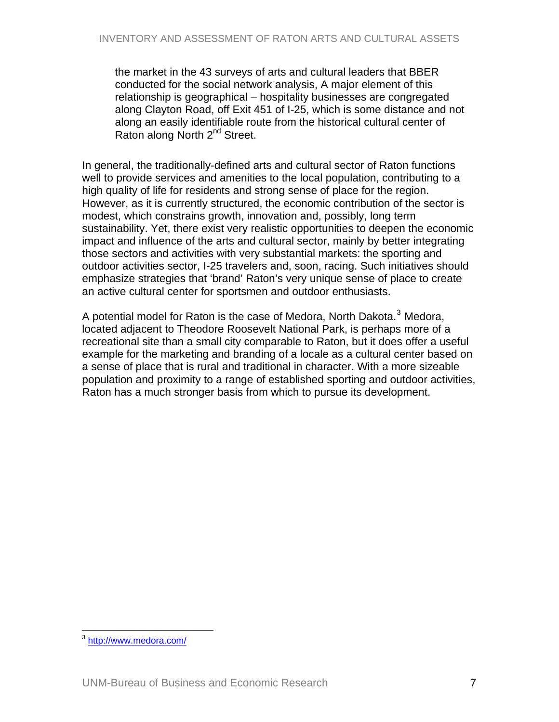the market in the 43 surveys of arts and cultural leaders that BBER conducted for the social network analysis, A major element of this relationship is geographical – hospitality businesses are congregated along Clayton Road, off Exit 451 of I-25, which is some distance and not along an easily identifiable route from the historical cultural center of Raton along North 2<sup>nd</sup> Street.

In general, the traditionally-defined arts and cultural sector of Raton functions well to provide services and amenities to the local population, contributing to a high quality of life for residents and strong sense of place for the region. However, as it is currently structured, the economic contribution of the sector is modest, which constrains growth, innovation and, possibly, long term sustainability. Yet, there exist very realistic opportunities to deepen the economic impact and influence of the arts and cultural sector, mainly by better integrating those sectors and activities with very substantial markets: the sporting and outdoor activities sector, I-25 travelers and, soon, racing. Such initiatives should emphasize strategies that 'brand' Raton's very unique sense of place to create an active cultural center for sportsmen and outdoor enthusiasts.

A potential model for Raton is the case of Medora, North Dakota.<sup>[3](#page-6-0)</sup> Medora, located adjacent to Theodore Roosevelt National Park, is perhaps more of a recreational site than a small city comparable to Raton, but it does offer a useful example for the marketing and branding of a locale as a cultural center based on a sense of place that is rural and traditional in character. With a more sizeable population and proximity to a range of established sporting and outdoor activities, Raton has a much stronger basis from which to pursue its development.

<span id="page-6-0"></span> $\overline{a}$ <sup>3</sup> <http://www.medora.com/>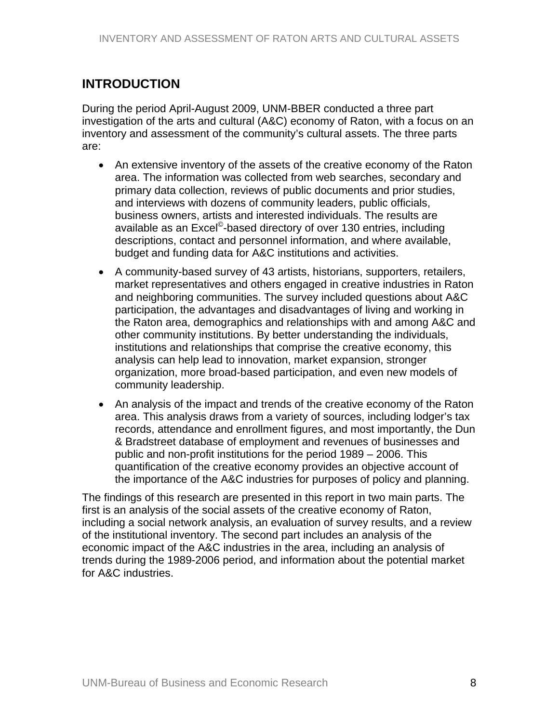# <span id="page-7-0"></span>**INTRODUCTION**

During the period April-August 2009, UNM-BBER conducted a three part investigation of the arts and cultural (A&C) economy of Raton, with a focus on an inventory and assessment of the community's cultural assets. The three parts are:

- An extensive inventory of the assets of the creative economy of the Raton area. The information was collected from web searches, secondary and primary data collection, reviews of public documents and prior studies, and interviews with dozens of community leaders, public officials, business owners, artists and interested individuals. The results are available as an Excel<sup>©</sup>-based directory of over 130 entries, including descriptions, contact and personnel information, and where available, budget and funding data for A&C institutions and activities.
- A community-based survey of 43 artists, historians, supporters, retailers, market representatives and others engaged in creative industries in Raton and neighboring communities. The survey included questions about A&C participation, the advantages and disadvantages of living and working in the Raton area, demographics and relationships with and among A&C and other community institutions. By better understanding the individuals, institutions and relationships that comprise the creative economy, this analysis can help lead to innovation, market expansion, stronger organization, more broad-based participation, and even new models of community leadership.
- An analysis of the impact and trends of the creative economy of the Raton area. This analysis draws from a variety of sources, including lodger's tax records, attendance and enrollment figures, and most importantly, the Dun & Bradstreet database of employment and revenues of businesses and public and non-profit institutions for the period 1989 – 2006. This quantification of the creative economy provides an objective account of the importance of the A&C industries for purposes of policy and planning.

The findings of this research are presented in this report in two main parts. The first is an analysis of the social assets of the creative economy of Raton, including a social network analysis, an evaluation of survey results, and a review of the institutional inventory. The second part includes an analysis of the economic impact of the A&C industries in the area, including an analysis of trends during the 1989-2006 period, and information about the potential market for A&C industries.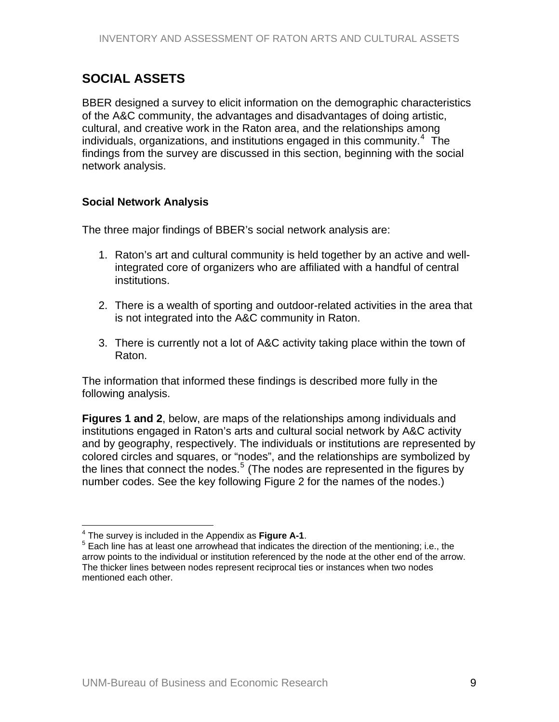# <span id="page-8-0"></span>**SOCIAL ASSETS**

BBER designed a survey to elicit information on the demographic characteristics of the A&C community, the advantages and disadvantages of doing artistic, cultural, and creative work in the Raton area, and the relationships among individuals, organizations, and institutions engaged in this community.<sup>[4](#page-8-1)</sup> The findings from the survey are discussed in this section, beginning with the social network analysis.

## **Social Network Analysis**

The three major findings of BBER's social network analysis are:

- 1. Raton's art and cultural community is held together by an active and wellintegrated core of organizers who are affiliated with a handful of central institutions.
- 2. There is a wealth of sporting and outdoor-related activities in the area that is not integrated into the A&C community in Raton.
- 3. There is currently not a lot of A&C activity taking place within the town of Raton.

The information that informed these findings is described more fully in the following analysis.

**Figures 1 and 2**, below, are maps of the relationships among individuals and institutions engaged in Raton's arts and cultural social network by A&C activity and by geography, respectively. The individuals or institutions are represented by colored circles and squares, or "nodes", and the relationships are symbolized by the lines that connect the nodes.<sup>[5](#page-8-2)</sup> (The nodes are represented in the figures by number codes. See the key following Figure 2 for the names of the nodes.)

 $\overline{a}$ <sup>4</sup> The survey is included in the Appendix as **Figure A-1**.<br><sup>5</sup> Each line has at least and arrowheed that indicates the

<span id="page-8-2"></span><span id="page-8-1"></span><sup>&</sup>lt;sup>5</sup> Each line has at least one arrowhead that indicates the direction of the mentioning; i.e., the arrow points to the individual or institution referenced by the node at the other end of the arrow. The thicker lines between nodes represent reciprocal ties or instances when two nodes mentioned each other.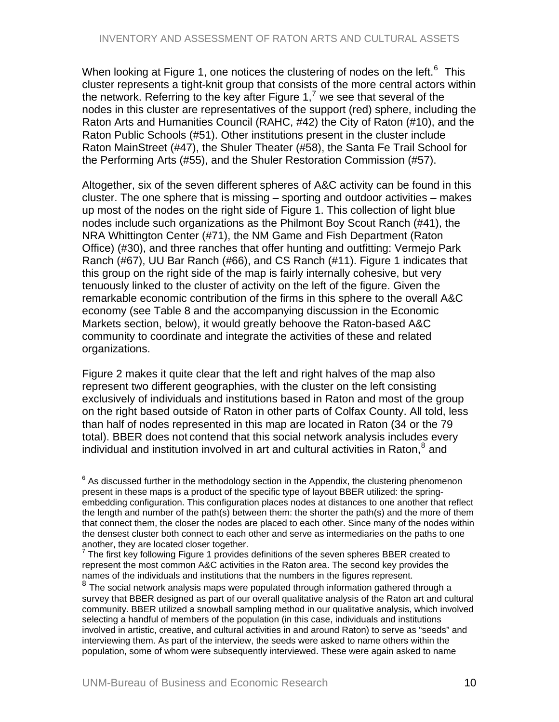When looking at Figure 1, one notices the clustering of nodes on the left.<sup>[6](#page-9-0)</sup> This cluster represents a tight-knit group that consists of the more central actors within the network. Referring to the key after Figure 1,<sup>[7](#page-9-1)</sup> we see that several of the nodes in this cluster are representatives of the support (red) sphere, including the Raton Arts and Humanities Council (RAHC, #42) the City of Raton (#10), and the Raton Public Schools (#51). Other institutions present in the cluster include Raton MainStreet (#47), the Shuler Theater (#58), the Santa Fe Trail School for the Performing Arts (#55), and the Shuler Restoration Commission (#57).

Altogether, six of the seven different spheres of A&C activity can be found in this cluster. The one sphere that is missing – sporting and outdoor activities – makes up most of the nodes on the right side of Figure 1. This collection of light blue nodes include such organizations as the Philmont Boy Scout Ranch (#41), the NRA Whittington Center (#71), the NM Game and Fish Department (Raton Office) (#30), and three ranches that offer hunting and outfitting: Vermejo Park Ranch (#67), UU Bar Ranch (#66), and CS Ranch (#11). Figure 1 indicates that this group on the right side of the map is fairly internally cohesive, but very tenuously linked to the cluster of activity on the left of the figure. Given the remarkable economic contribution of the firms in this sphere to the overall A&C economy (see Table 8 and the accompanying discussion in the Economic Markets section, below), it would greatly behoove the Raton-based A&C community to coordinate and integrate the activities of these and related organizations.

Figure 2 makes it quite clear that the left and right halves of the map also represent two different geographies, with the cluster on the left consisting exclusively of individuals and institutions based in Raton and most of the group on the right based outside of Raton in other parts of Colfax County. All told, less than half of nodes represented in this map are located in Raton (34 or the 79 total). BBER does not contend that this social network analysis includes every individual and institution involved in art and cultural activities in Raton, $^8$  $^8$  and

<span id="page-9-0"></span> $\overline{a}$  $6$  As discussed further in the methodology section in the Appendix, the clustering phenomenon present in these maps is a product of the specific type of layout BBER utilized: the springembedding configuration. This configuration places nodes at distances to one another that reflect the length and number of the path(s) between them: the shorter the path(s) and the more of them that connect them, the closer the nodes are placed to each other. Since many of the nodes within the densest cluster both connect to each other and serve as intermediaries on the paths to one another, they are located closer together.<br><sup>7</sup> The first key following Figure 1 provides.

<span id="page-9-1"></span>The first key following Figure 1 provides definitions of the seven spheres BBER created to represent the most common A&C activities in the Raton area. The second key provides the names of the individuals and institutions that the numbers in the figures represent.

<span id="page-9-2"></span> $8$  The social network analysis maps were populated through information gathered through a survey that BBER designed as part of our overall qualitative analysis of the Raton art and cultural community. BBER utilized a snowball sampling method in our qualitative analysis, which involved selecting a handful of members of the population (in this case, individuals and institutions involved in artistic, creative, and cultural activities in and around Raton) to serve as "seeds" and interviewing them. As part of the interview, the seeds were asked to name others within the population, some of whom were subsequently interviewed. These were again asked to name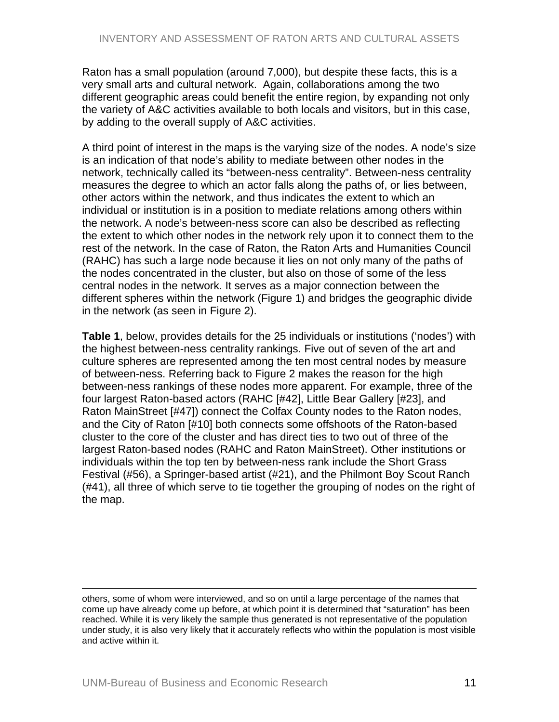Raton has a small population (around 7,000), but despite these facts, this is a very small arts and cultural network. Again, collaborations among the two different geographic areas could benefit the entire region, by expanding not only the variety of A&C activities available to both locals and visitors, but in this case, by adding to the overall supply of A&C activities.

A third point of interest in the maps is the varying size of the nodes. A node's size is an indication of that node's ability to mediate between other nodes in the network, technically called its "between-ness centrality". Between-ness centrality measures the degree to which an actor falls along the paths of, or lies between, other actors within the network, and thus indicates the extent to which an individual or institution is in a position to mediate relations among others within the network. A node's between-ness score can also be described as reflecting the extent to which other nodes in the network rely upon it to connect them to the rest of the network. In the case of Raton, the Raton Arts and Humanities Council (RAHC) has such a large node because it lies on not only many of the paths of the nodes concentrated in the cluster, but also on those of some of the less central nodes in the network. It serves as a major connection between the different spheres within the network (Figure 1) and bridges the geographic divide in the network (as seen in Figure 2).

**Table 1**, below, provides details for the 25 individuals or institutions ('nodes') with the highest between-ness centrality rankings. Five out of seven of the art and culture spheres are represented among the ten most central nodes by measure of between-ness. Referring back to Figure 2 makes the reason for the high between-ness rankings of these nodes more apparent. For example, three of the four largest Raton-based actors (RAHC [#42], Little Bear Gallery [#23], and Raton MainStreet [#47]) connect the Colfax County nodes to the Raton nodes, and the City of Raton [#10] both connects some offshoots of the Raton-based cluster to the core of the cluster and has direct ties to two out of three of the largest Raton-based nodes (RAHC and Raton MainStreet). Other institutions or individuals within the top ten by between-ness rank include the Short Grass Festival (#56), a Springer-based artist (#21), and the Philmont Boy Scout Ranch (#41), all three of which serve to tie together the grouping of nodes on the right of the map.

1

others, some of whom were interviewed, and so on until a large percentage of the names that come up have already come up before, at which point it is determined that "saturation" has been reached. While it is very likely the sample thus generated is not representative of the population under study, it is also very likely that it accurately reflects who within the population is most visible and active within it.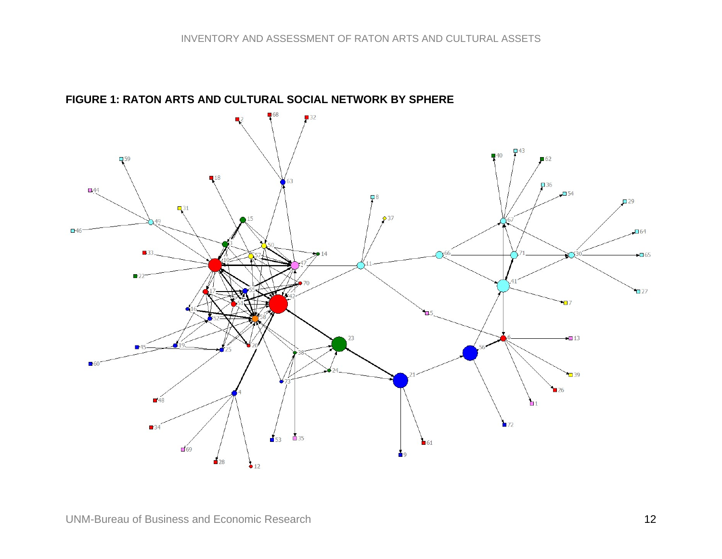## **FIGURE 1: RATON ARTS AND CULTURAL SOCIAL NETWORK BY SPHERE**

<span id="page-11-0"></span>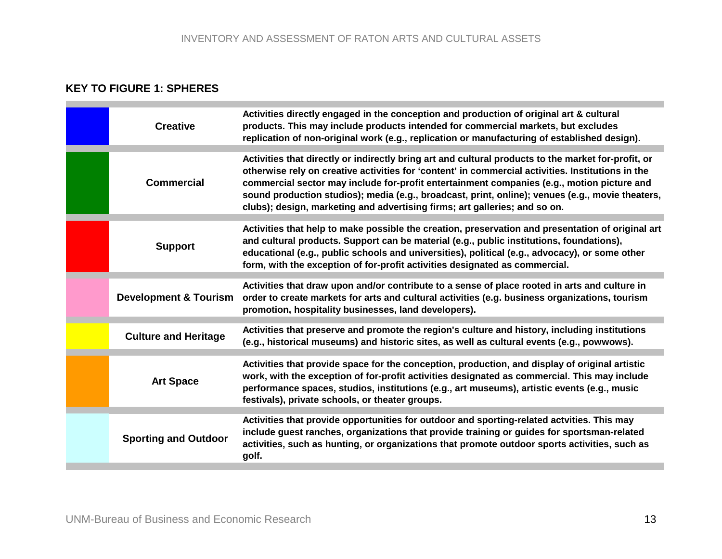# **KEY TO FIGURE 1: SPHERES**

| <b>Creative</b>                  | Activities directly engaged in the conception and production of original art & cultural<br>products. This may include products intended for commercial markets, but excludes<br>replication of non-original work (e.g., replication or manufacturing of established design).                                                                                                                                                                                                             |
|----------------------------------|------------------------------------------------------------------------------------------------------------------------------------------------------------------------------------------------------------------------------------------------------------------------------------------------------------------------------------------------------------------------------------------------------------------------------------------------------------------------------------------|
| <b>Commercial</b>                | Activities that directly or indirectly bring art and cultural products to the market for-profit, or<br>otherwise rely on creative activities for 'content' in commercial activities. Institutions in the<br>commercial sector may include for-profit entertainment companies (e.g., motion picture and<br>sound production studios); media (e.g., broadcast, print, online); venues (e.g., movie theaters,<br>clubs); design, marketing and advertising firms; art galleries; and so on. |
| <b>Support</b>                   | Activities that help to make possible the creation, preservation and presentation of original art<br>and cultural products. Support can be material (e.g., public institutions, foundations),<br>educational (e.g., public schools and universities), political (e.g., advocacy), or some other<br>form, with the exception of for-profit activities designated as commercial.                                                                                                           |
| <b>Development &amp; Tourism</b> | Activities that draw upon and/or contribute to a sense of place rooted in arts and culture in<br>order to create markets for arts and cultural activities (e.g. business organizations, tourism<br>promotion, hospitality businesses, land developers).                                                                                                                                                                                                                                  |
| <b>Culture and Heritage</b>      | Activities that preserve and promote the region's culture and history, including institutions<br>(e.g., historical museums) and historic sites, as well as cultural events (e.g., powwows).                                                                                                                                                                                                                                                                                              |
| <b>Art Space</b>                 | Activities that provide space for the conception, production, and display of original artistic<br>work, with the exception of for-profit activities designated as commercial. This may include<br>performance spaces, studios, institutions (e.g., art museums), artistic events (e.g., music<br>festivals), private schools, or theater groups.                                                                                                                                         |
| <b>Sporting and Outdoor</b>      | Activities that provide opportunities for outdoor and sporting-related actvities. This may<br>include guest ranches, organizations that provide training or guides for sportsman-related<br>activities, such as hunting, or organizations that promote outdoor sports activities, such as<br>golf.                                                                                                                                                                                       |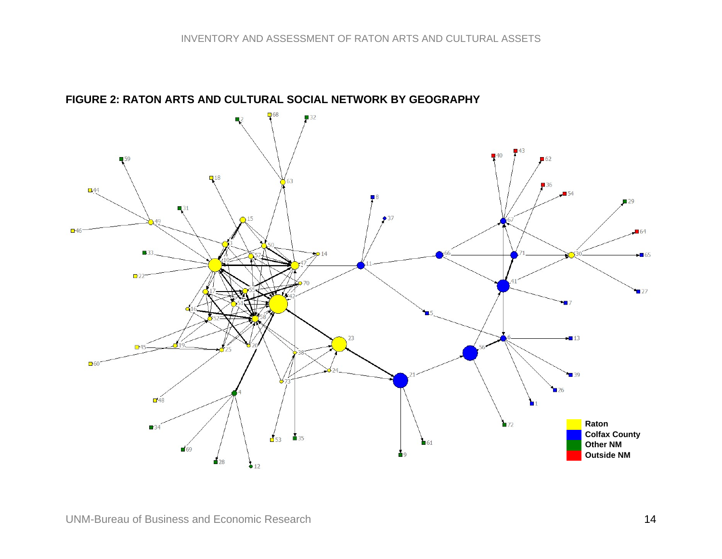

<span id="page-13-0"></span>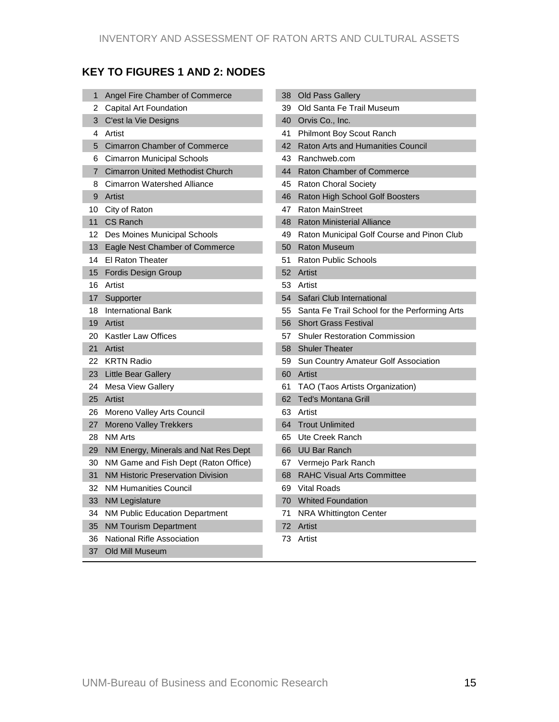# **KEY TO FIGURES 1 AND 2: NODES**

| 1                | Angel Fire Chamber of Commerce           |    | 38 Old Pass Gallery                              |
|------------------|------------------------------------------|----|--------------------------------------------------|
|                  | 2 Capital Art Foundation                 |    | 39 Old Santa Fe Trail Museum                     |
|                  | 3 C'est la Vie Designs                   |    | 40 Orvis Co., Inc.                               |
| 4                | Artist                                   |    | 41 Philmont Boy Scout Ranch                      |
| 5                | <b>Cimarron Chamber of Commerce</b>      |    | 42 Raton Arts and Humanities Council             |
| 6                | <b>Cimarron Municipal Schools</b>        |    | 43 Ranchweb.com                                  |
| $7\phantom{.}$   | <b>Cimarron United Methodist Church</b>  |    | 44 Raton Chamber of Commerce                     |
| 8                | <b>Cimarron Watershed Alliance</b>       |    | 45 Raton Choral Society                          |
| 9                | Artist                                   |    | 46 Raton High School Golf Boosters               |
| 10               | City of Raton                            |    | 47 Raton MainStreet                              |
| 11               | <b>CS Ranch</b>                          | 48 | <b>Raton Ministerial Alliance</b>                |
| 12 <sup>12</sup> | Des Moines Municipal Schools             |    | 49 Raton Municipal Golf Course and Pinon Club    |
| 13               | Eagle Nest Chamber of Commerce           | 50 | <b>Raton Museum</b>                              |
| 14               | El Raton Theater                         |    | 51 Raton Public Schools                          |
| 15               | <b>Fordis Design Group</b>               |    | 52 Artist                                        |
| 16               | Artist                                   |    | 53 Artist                                        |
| 17               | Supporter                                |    | 54 Safari Club International                     |
| 18               | International Bank                       |    | 55 Santa Fe Trail School for the Performing Arts |
| 19               | Artist                                   |    | 56 Short Grass Festival                          |
|                  | 20 Kastler Law Offices                   |    | 57 Shuler Restoration Commission                 |
| 21               | Artist                                   |    | 58 Shuler Theater                                |
|                  | 22 KRTN Radio                            |    | 59 Sun Country Amateur Golf Association          |
| 23.              | <b>Little Bear Gallery</b>               |    | 60 Artist                                        |
| 24               | Mesa View Gallery                        | 61 | TAO (Taos Artists Organization)                  |
| 25               | Artist                                   |    | 62 Ted's Montana Grill                           |
|                  | 26 Moreno Valley Arts Council            |    | 63 Artist                                        |
| 27               | <b>Moreno Valley Trekkers</b>            |    | 64 Trout Unlimited                               |
| 28               | <b>NM Arts</b>                           |    | 65 Ute Creek Ranch                               |
| 29               | NM Energy, Minerals and Nat Res Dept     |    | 66 UU Bar Ranch                                  |
| 30               | NM Game and Fish Dept (Raton Office)     |    | 67 Vermejo Park Ranch                            |
| 31               | <b>NM Historic Preservation Division</b> | 68 | <b>RAHC Visual Arts Committee</b>                |
| 32               | <b>NM Humanities Council</b>             |    | 69 Vital Roads                                   |
| 33               | <b>NM Legislature</b>                    |    | 70 Whited Foundation                             |
| 34               | NM Public Education Department           |    | 71 NRA Whittington Center                        |
| 35               | <b>NM Tourism Department</b>             |    | 72 Artist                                        |
| 36               | National Rifle Association               | 73 | Artist                                           |
|                  | 37 Old Mill Museum                       |    |                                                  |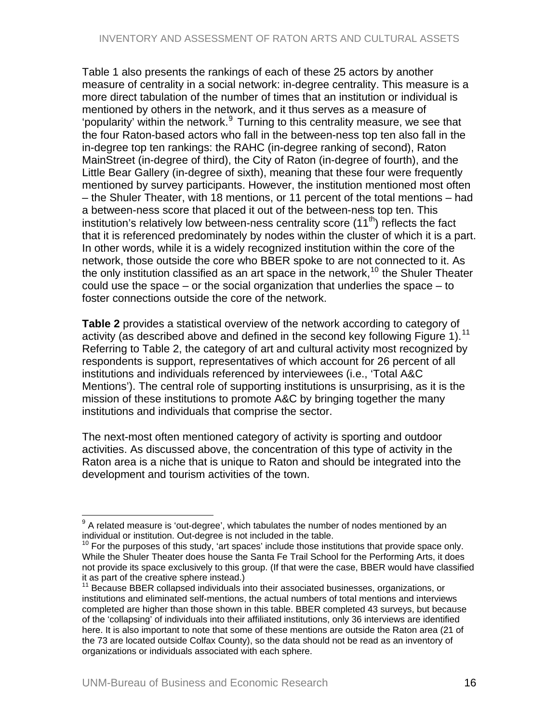<span id="page-15-0"></span>Table 1 also presents the rankings of each of these 25 actors by another measure of centrality in a social network: in-degree centrality. This measure is a more direct tabulation of the number of times that an institution or individual is mentioned by others in the network, and it thus serves as a measure of 'popularity' within the network.<sup>[9](#page-15-0)</sup> Turning to this centrality measure, we see that the four Raton-based actors who fall in the between-ness top ten also fall in the in-degree top ten rankings: the RAHC (in-degree ranking of second), Raton MainStreet (in-degree of third), the City of Raton (in-degree of fourth), and the Little Bear Gallery (in-degree of sixth), meaning that these four were frequently mentioned by survey participants. However, the institution mentioned most often – the Shuler Theater, with 18 mentions, or 11 percent of the total mentions – had a between-ness score that placed it out of the between-ness top ten. This institution's relatively low between-ness centrality score  $(11<sup>th</sup>)$  reflects the fact that it is referenced predominately by nodes within the cluster of which it is a part. In other words, while it is a widely recognized institution within the core of the network, those outside the core who BBER spoke to are not connected to it. As the only institution classified as an art space in the network,<sup>[10](#page-15-0)</sup> the Shuler Theater could use the space – or the social organization that underlies the space – to foster connections outside the core of the network.

**Table 2** provides a statistical overview of the network according to category of activity (as described above and defined in the second key following Figure 1).<sup>[11](#page-15-0)</sup> Referring to Table 2, the category of art and cultural activity most recognized by respondents is support, representatives of which account for 26 percent of all institutions and individuals referenced by interviewees (i.e., 'Total A&C Mentions'). The central role of supporting institutions is unsurprising, as it is the mission of these institutions to promote A&C by bringing together the many institutions and individuals that comprise the sector.

The next-most often mentioned category of activity is sporting and outdoor activities. As discussed above, the concentration of this type of activity in the Raton area is a niche that is unique to Raton and should be integrated into the development and tourism activities of the town.

 9 A related measure is 'out-degree', which tabulates the number of nodes mentioned by an individual or institution. Out-degree is not included in the table.

 $10$  For the purposes of this study, 'art spaces' include those institutions that provide space only. While the Shuler Theater does house the Santa Fe Trail School for the Performing Arts, it does not provide its space exclusively to this group. (If that were the case, BBER would have classified it as part of the creative sphere instead.)

<sup>11</sup> Because BBER collapsed individuals into their associated businesses, organizations, or institutions and eliminated self-mentions, the actual numbers of total mentions and interviews completed are higher than those shown in this table. BBER completed 43 surveys, but because of the 'collapsing' of individuals into their affiliated institutions, only 36 interviews are identified here. It is also important to note that some of these mentions are outside the Raton area (21 of the 73 are located outside Colfax County), so the data should not be read as an inventory of organizations or individuals associated with each sphere.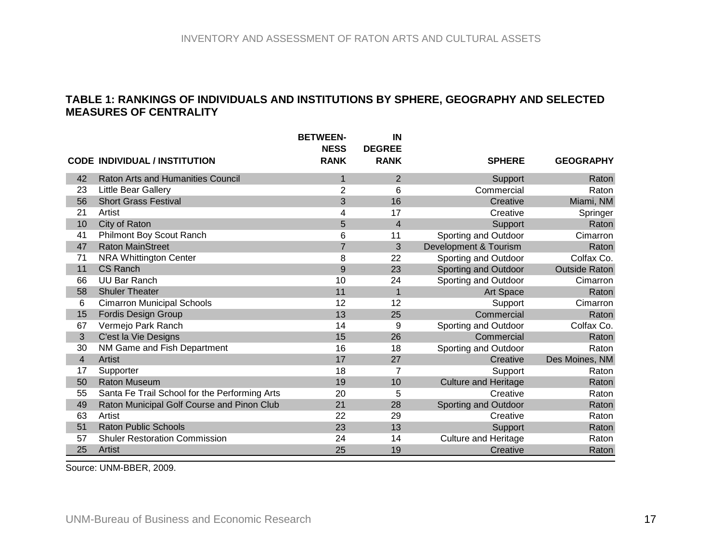#### **TABLE 1: RANKINGS OF INDIVIDUALS AND INSTITUTIONS BY SPHERE, GEOGRAPHY AND SELECTED MEASURES OF CENTRALITY**

|                |                                               | <b>BETWEEN-</b><br><b>NESS</b> | IN<br><b>DEGREE</b> |                             |                      |
|----------------|-----------------------------------------------|--------------------------------|---------------------|-----------------------------|----------------------|
|                | <b>CODE INDIVIDUAL / INSTITUTION</b>          | <b>RANK</b>                    | <b>RANK</b>         | <b>SPHERE</b>               | <b>GEOGRAPHY</b>     |
| 42             | <b>Raton Arts and Humanities Council</b>      | 1                              | $\overline{2}$      | Support                     | Raton                |
| 23             | Little Bear Gallery                           | 2                              | 6                   | Commercial                  | Raton                |
| 56             | <b>Short Grass Festival</b>                   | 3                              | 16                  | Creative                    | Miami, NM            |
| 21             | Artist                                        | 4                              | 17                  | Creative                    | Springer             |
| 10             | City of Raton                                 | 5                              | 4                   | Support                     | Raton                |
| 41             | Philmont Boy Scout Ranch                      | 6                              | 11                  | Sporting and Outdoor        | Cimarron             |
| 47             | <b>Raton MainStreet</b>                       | $\overline{7}$                 | 3                   | Development & Tourism       | Raton                |
| 71             | <b>NRA Whittington Center</b>                 | 8                              | 22                  | Sporting and Outdoor        | Colfax Co.           |
| 11             | CS Ranch                                      | 9                              | 23                  | Sporting and Outdoor        | <b>Outside Raton</b> |
| 66             | <b>UU Bar Ranch</b>                           | 10                             | 24                  | Sporting and Outdoor        | Cimarron             |
| 58             | <b>Shuler Theater</b>                         | 11                             | $\mathbf{1}$        | Art Space                   | Raton                |
| 6              | <b>Cimarron Municipal Schools</b>             | 12                             | 12                  | Support                     | Cimarron             |
| 15             | <b>Fordis Design Group</b>                    | 13                             | 25                  | Commercial                  | Raton                |
| 67             | Vermejo Park Ranch                            | 14                             | 9                   | Sporting and Outdoor        | Colfax Co.           |
| 3              | C'est la Vie Designs                          | 15                             | 26                  | Commercial                  | Raton                |
| 30             | NM Game and Fish Department                   | 16                             | 18                  | Sporting and Outdoor        | Raton                |
| $\overline{4}$ | <b>Artist</b>                                 | 17                             | 27                  | Creative                    | Des Moines, NM       |
| 17             | Supporter                                     | 18                             | 7                   | Support                     | Raton                |
| 50             | <b>Raton Museum</b>                           | 19                             | 10                  | <b>Culture and Heritage</b> | Raton                |
| 55             | Santa Fe Trail School for the Performing Arts | 20                             | 5                   | Creative                    | Raton                |
| 49             | Raton Municipal Golf Course and Pinon Club    | 21                             | 28                  | Sporting and Outdoor        | Raton                |
| 63             | Artist                                        | 22                             | 29                  | Creative                    | Raton                |
| 51             | <b>Raton Public Schools</b>                   | 23                             | 13                  | Support                     | Raton                |
| 57             | <b>Shuler Restoration Commission</b>          | 24                             | 14                  | <b>Culture and Heritage</b> | Raton                |
| 25             | Artist                                        | 25                             | 19                  | Creative                    | Raton                |

<span id="page-16-0"></span>Source: UNM-BBER, 2009.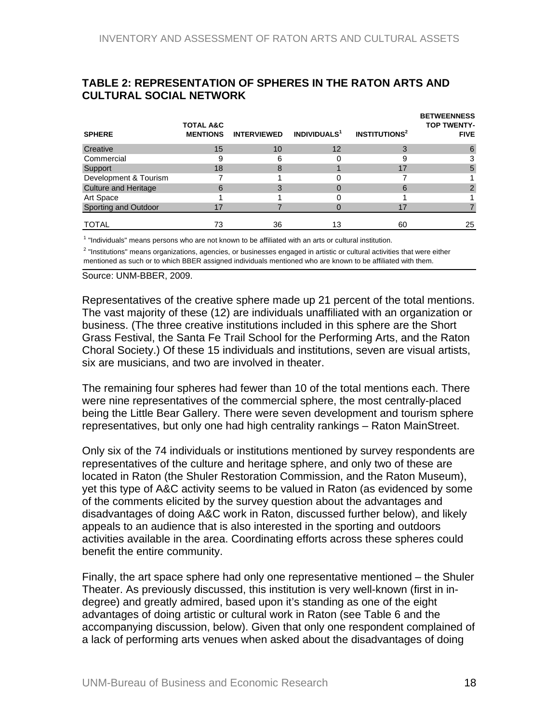| <b>UULTURAL SUUJAL NETWURK</b> |                                         |                    |                          |                                 |                                                         |
|--------------------------------|-----------------------------------------|--------------------|--------------------------|---------------------------------|---------------------------------------------------------|
| <b>SPHERE</b>                  | <b>TOTAL A&amp;C</b><br><b>MENTIONS</b> | <b>INTERVIEWED</b> | INDIVIDUALS <sup>1</sup> | <b>INSTITUTIONS<sup>2</sup></b> | <b>BETWEENNESS</b><br><b>TOP TWENTY-</b><br><b>FIVE</b> |
| Creative                       | 15                                      | 10                 | 12                       | 3                               |                                                         |
| Commercial                     | 9                                       | 6                  |                          |                                 |                                                         |
| Support                        | 18                                      |                    |                          | 17                              | 5                                                       |
| Development & Tourism          |                                         |                    |                          |                                 |                                                         |
| <b>Culture and Heritage</b>    | 6                                       |                    | 0                        | 6                               |                                                         |
| Art Space                      |                                         |                    | 0                        |                                 |                                                         |
| Sporting and Outdoor           | 17                                      |                    |                          | 17                              |                                                         |
| <b>TOTAL</b>                   | 73                                      | 36                 | 13                       | 60                              | 25                                                      |

#### <span id="page-17-0"></span>**TABLE 2: REPRESENTATION OF SPHERES IN THE RATON ARTS AND CULTURAL SOCIAL NETWORK**

 $<sup>1</sup>$  "Individuals" means persons who are not known to be affiliated with an arts or cultural institution.</sup>

<sup>2</sup> "Institutions" means organizations, agencies, or businesses engaged in artistic or cultural activities that were either mentioned as such or to which BBER assigned individuals mentioned who are known to be affiliated with them.

Source: UNM-BBER, 2009.

Representatives of the creative sphere made up 21 percent of the total mentions. The vast majority of these (12) are individuals unaffiliated with an organization or business. (The three creative institutions included in this sphere are the Short Grass Festival, the Santa Fe Trail School for the Performing Arts, and the Raton Choral Society.) Of these 15 individuals and institutions, seven are visual artists, six are musicians, and two are involved in theater.

The remaining four spheres had fewer than 10 of the total mentions each. There were nine representatives of the commercial sphere, the most centrally-placed being the Little Bear Gallery. There were seven development and tourism sphere representatives, but only one had high centrality rankings – Raton MainStreet.

Only six of the 74 individuals or institutions mentioned by survey respondents are representatives of the culture and heritage sphere, and only two of these are located in Raton (the Shuler Restoration Commission, and the Raton Museum), yet this type of A&C activity seems to be valued in Raton (as evidenced by some of the comments elicited by the survey question about the advantages and disadvantages of doing A&C work in Raton, discussed further below), and likely appeals to an audience that is also interested in the sporting and outdoors activities available in the area. Coordinating efforts across these spheres could benefit the entire community.

Finally, the art space sphere had only one representative mentioned – the Shuler Theater. As previously discussed, this institution is very well-known (first in indegree) and greatly admired, based upon it's standing as one of the eight advantages of doing artistic or cultural work in Raton (see Table 6 and the accompanying discussion, below). Given that only one respondent complained of a lack of performing arts venues when asked about the disadvantages of doing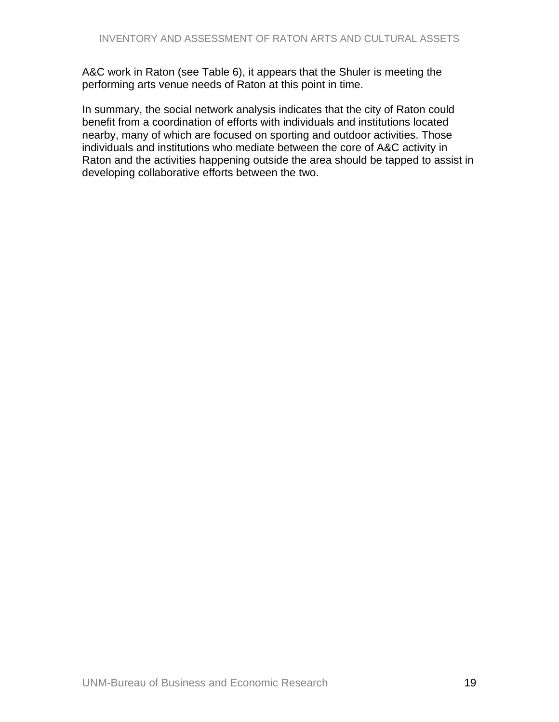A&C work in Raton (see Table 6), it appears that the Shuler is meeting the performing arts venue needs of Raton at this point in time.

In summary, the social network analysis indicates that the city of Raton could benefit from a coordination of efforts with individuals and institutions located nearby, many of which are focused on sporting and outdoor activities. Those individuals and institutions who mediate between the core of A&C activity in Raton and the activities happening outside the area should be tapped to assist in developing collaborative efforts between the two.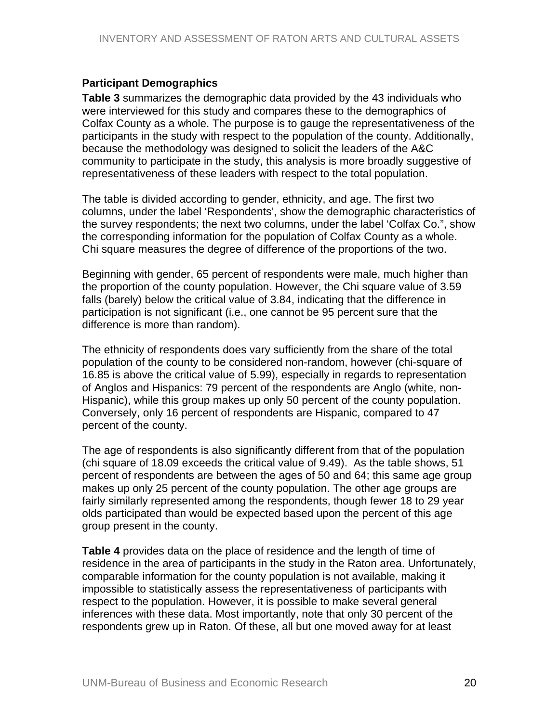#### <span id="page-19-0"></span>**Participant Demographics**

**Table 3** summarizes the demographic data provided by the 43 individuals who were interviewed for this study and compares these to the demographics of Colfax County as a whole. The purpose is to gauge the representativeness of the participants in the study with respect to the population of the county. Additionally, because the methodology was designed to solicit the leaders of the A&C community to participate in the study, this analysis is more broadly suggestive of representativeness of these leaders with respect to the total population.

The table is divided according to gender, ethnicity, and age. The first two columns, under the label 'Respondents', show the demographic characteristics of the survey respondents; the next two columns, under the label 'Colfax Co.", show the corresponding information for the population of Colfax County as a whole. Chi square measures the degree of difference of the proportions of the two.

Beginning with gender, 65 percent of respondents were male, much higher than the proportion of the county population. However, the Chi square value of 3.59 falls (barely) below the critical value of 3.84, indicating that the difference in participation is not significant (i.e., one cannot be 95 percent sure that the difference is more than random).

The ethnicity of respondents does vary sufficiently from the share of the total population of the county to be considered non-random, however (chi-square of 16.85 is above the critical value of 5.99), especially in regards to representation of Anglos and Hispanics: 79 percent of the respondents are Anglo (white, non-Hispanic), while this group makes up only 50 percent of the county population. Conversely, only 16 percent of respondents are Hispanic, compared to 47 percent of the county.

The age of respondents is also significantly different from that of the population (chi square of 18.09 exceeds the critical value of 9.49). As the table shows, 51 percent of respondents are between the ages of 50 and 64; this same age group makes up only 25 percent of the county population. The other age groups are fairly similarly represented among the respondents, though fewer 18 to 29 year olds participated than would be expected based upon the percent of this age group present in the county.

**Table 4** provides data on the place of residence and the length of time of residence in the area of participants in the study in the Raton area. Unfortunately, comparable information for the county population is not available, making it impossible to statistically assess the representativeness of participants with respect to the population. However, it is possible to make several general inferences with these data. Most importantly, note that only 30 percent of the respondents grew up in Raton. Of these, all but one moved away for at least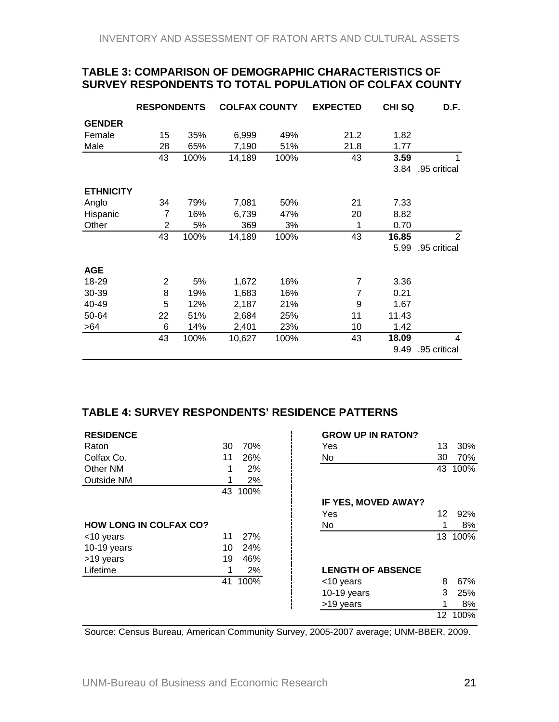#### <span id="page-20-0"></span>**TABLE 3: COMPARISON OF DEMOGRAPHIC CHARACTERISTICS OF SURVEY RESPONDENTS TO TOTAL POPULATION OF COLFAX COUNTY**

|                  | <b>RESPONDENTS</b> |      | <b>COLFAX COUNTY</b> |      | <b>EXPECTED</b> | <b>CHISQ</b> | D.F.         |
|------------------|--------------------|------|----------------------|------|-----------------|--------------|--------------|
| <b>GENDER</b>    |                    |      |                      |      |                 |              |              |
| Female           | 15                 | 35%  | 6,999                | 49%  | 21.2            | 1.82         |              |
| Male             | 28                 | 65%  | 7,190                | 51%  | 21.8            | 1.77         |              |
|                  | 43                 | 100% | 14,189               | 100% | 43              | 3.59         |              |
|                  |                    |      |                      |      |                 | 3.84         | .95 critical |
| <b>ETHNICITY</b> |                    |      |                      |      |                 |              |              |
| Anglo            | 34                 | 79%  | 7,081                | 50%  | 21              | 7.33         |              |
| Hispanic         | 7                  | 16%  | 6,739                | 47%  | 20              | 8.82         |              |
| Other            | 2                  | 5%   | 369                  | 3%   | 1               | 0.70         |              |
|                  | 43                 | 100% | 14,189               | 100% | 43              | 16.85        | 2            |
|                  |                    |      |                      |      |                 | 5.99         | .95 critical |
| <b>AGE</b>       |                    |      |                      |      |                 |              |              |
| 18-29            | $\overline{2}$     | 5%   | 1,672                | 16%  | $\overline{7}$  | 3.36         |              |
| 30-39            | 8                  | 19%  | 1,683                | 16%  | $\overline{7}$  | 0.21         |              |
| 40-49            | 5                  | 12%  | 2,187                | 21%  | 9               | 1.67         |              |
| 50-64            | 22                 | 51%  | 2,684                | 25%  | 11              | 11.43        |              |
| >64              | 6                  | 14%  | 2,401                | 23%  | 10              | 1.42         |              |
|                  | 43                 | 100% | 10,627               | 100% | 43              | 18.09        | 4            |
|                  |                    |      |                      |      |                 | 9.49         | .95 critical |

#### **TABLE 4: SURVEY RESPONDENTS' RESIDENCE PATTERNS**

| <b>RESIDENCE</b>              |    |         | <b>GROW UP IN RATON?</b> |    |         |
|-------------------------------|----|---------|--------------------------|----|---------|
| Raton                         | 30 | 70%     | <b>Yes</b>               | 13 | 30%     |
| Colfax Co.                    | 11 | 26%     | No                       | 30 | 70%     |
| Other NM                      |    | 2%      |                          |    | 43 100% |
| <b>Outside NM</b>             |    | 2%      |                          |    |         |
|                               | 43 | 100%    |                          |    |         |
|                               |    |         | IF YES, MOVED AWAY?      |    |         |
|                               |    |         | Yes                      | 12 | 92%     |
| <b>HOW LONG IN COLFAX CO?</b> |    |         | No                       | 1  | 8%      |
| <10 years                     | 11 | 27%     |                          |    | 13 100% |
| $10-19$ years                 | 10 | 24%     |                          |    |         |
| >19 years                     | 19 | 46%     |                          |    |         |
| Lifetime                      |    | 2%      | <b>LENGTH OF ABSENCE</b> |    |         |
|                               |    | 41 100% | <10 years                | 8  | 67%     |
|                               |    |         | $10-19$ years            | 3  | 25%     |
|                               |    |         | >19 years                | 1  | 8%      |
|                               |    |         |                          |    | 12 100% |

Source: Census Bureau, American Community Survey, 2005-2007 average; UNM-BBER, 2009.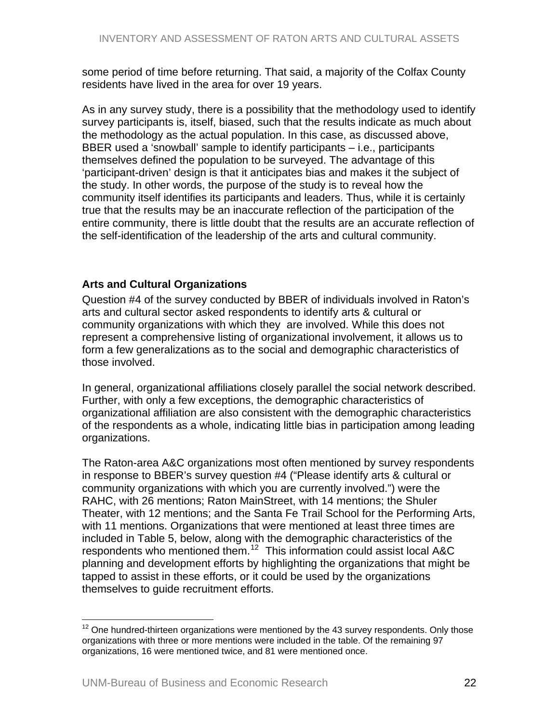<span id="page-21-0"></span>some period of time before returning. That said, a majority of the Colfax County residents have lived in the area for over 19 years.

As in any survey study, there is a possibility that the methodology used to identify survey participants is, itself, biased, such that the results indicate as much about the methodology as the actual population. In this case, as discussed above, BBER used a 'snowball' sample to identify participants – i.e., participants themselves defined the population to be surveyed. The advantage of this 'participant-driven' design is that it anticipates bias and makes it the subject of the study. In other words, the purpose of the study is to reveal how the community itself identifies its participants and leaders. Thus, while it is certainly true that the results may be an inaccurate reflection of the participation of the entire community, there is little doubt that the results are an accurate reflection of the self-identification of the leadership of the arts and cultural community.

## **Arts and Cultural Organizations**

Question #4 of the survey conducted by BBER of individuals involved in Raton's arts and cultural sector asked respondents to identify arts & cultural or community organizations with which they are involved. While this does not represent a comprehensive listing of organizational involvement, it allows us to form a few generalizations as to the social and demographic characteristics of those involved.

In general, organizational affiliations closely parallel the social network described. Further, with only a few exceptions, the demographic characteristics of organizational affiliation are also consistent with the demographic characteristics of the respondents as a whole, indicating little bias in participation among leading organizations.

The Raton-area A&C organizations most often mentioned by survey respondents in response to BBER's survey question #4 ("Please identify arts & cultural or community organizations with which you are currently involved.") were the RAHC, with 26 mentions; Raton MainStreet, with 14 mentions; the Shuler Theater, with 12 mentions; and the Santa Fe Trail School for the Performing Arts, with 11 mentions. Organizations that were mentioned at least three times are included in Table 5, below, along with the demographic characteristics of the respondents who mentioned them.<sup>[12](#page-21-0)</sup> This information could assist local A&C planning and development efforts by highlighting the organizations that might be tapped to assist in these efforts, or it could be used by the organizations themselves to guide recruitment efforts.

 $\overline{a}$ 

 $12$  One hundred-thirteen organizations were mentioned by the 43 survey respondents. Only those organizations with three or more mentions were included in the table. Of the remaining 97 organizations, 16 were mentioned twice, and 81 were mentioned once.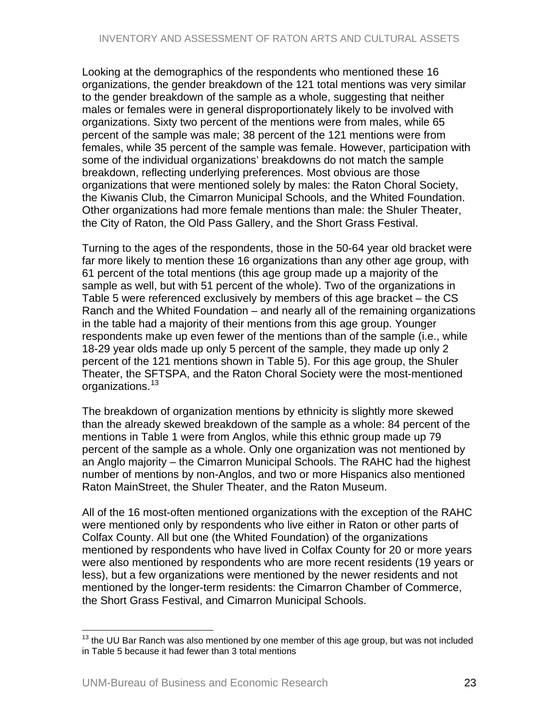<span id="page-22-0"></span>Looking at the demographics of the respondents who mentioned these 16 organizations, the gender breakdown of the 121 total mentions was very similar to the gender breakdown of the sample as a whole, suggesting that neither males or females were in general disproportionately likely to be involved with organizations. Sixty two percent of the mentions were from males, while 65 percent of the sample was male; 38 percent of the 121 mentions were from females, while 35 percent of the sample was female. However, participation with some of the individual organizations' breakdowns do not match the sample breakdown, reflecting underlying preferences. Most obvious are those organizations that were mentioned solely by males: the Raton Choral Society, the Kiwanis Club, the Cimarron Municipal Schools, and the Whited Foundation. Other organizations had more female mentions than male: the Shuler Theater, the City of Raton, the Old Pass Gallery, and the Short Grass Festival.

Turning to the ages of the respondents, those in the 50-64 year old bracket were far more likely to mention these 16 organizations than any other age group, with 61 percent of the total mentions (this age group made up a majority of the sample as well, but with 51 percent of the whole). Two of the organizations in Table 5 were referenced exclusively by members of this age bracket – the CS Ranch and the Whited Foundation – and nearly all of the remaining organizations in the table had a majority of their mentions from this age group. Younger respondents make up even fewer of the mentions than of the sample (i.e., while 18-29 year olds made up only 5 percent of the sample, they made up only 2 percent of the 121 mentions shown in Table 5). For this age group, the Shuler Theater, the SFTSPA, and the Raton Choral Society were the most-mentioned organizations.<sup>[13](#page-22-0)</sup>

The breakdown of organization mentions by ethnicity is slightly more skewed than the already skewed breakdown of the sample as a whole: 84 percent of the mentions in Table 1 were from Anglos, while this ethnic group made up 79 percent of the sample as a whole. Only one organization was not mentioned by an Anglo majority – the Cimarron Municipal Schools. The RAHC had the highest number of mentions by non-Anglos, and two or more Hispanics also mentioned Raton MainStreet, the Shuler Theater, and the Raton Museum.

All of the 16 most-often mentioned organizations with the exception of the RAHC were mentioned only by respondents who live either in Raton or other parts of Colfax County. All but one (the Whited Foundation) of the organizations mentioned by respondents who have lived in Colfax County for 20 or more years were also mentioned by respondents who are more recent residents (19 years or less), but a few organizations were mentioned by the newer residents and not mentioned by the longer-term residents: the Cimarron Chamber of Commerce, the Short Grass Festival, and Cimarron Municipal Schools.

 $\overline{a}$ 

 $13$  the UU Bar Ranch was also mentioned by one member of this age group, but was not included in Table 5 because it had fewer than 3 total mentions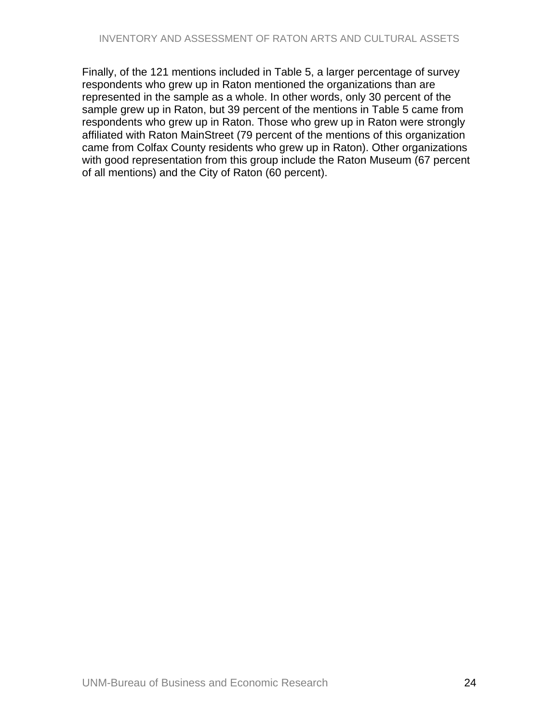Finally, of the 121 mentions included in Table 5, a larger percentage of survey respondents who grew up in Raton mentioned the organizations than are represented in the sample as a whole. In other words, only 30 percent of the sample grew up in Raton, but 39 percent of the mentions in Table 5 came from respondents who grew up in Raton. Those who grew up in Raton were strongly affiliated with Raton MainStreet (79 percent of the mentions of this organization came from Colfax County residents who grew up in Raton). Other organizations with good representation from this group include the Raton Museum (67 percent of all mentions) and the City of Raton (60 percent).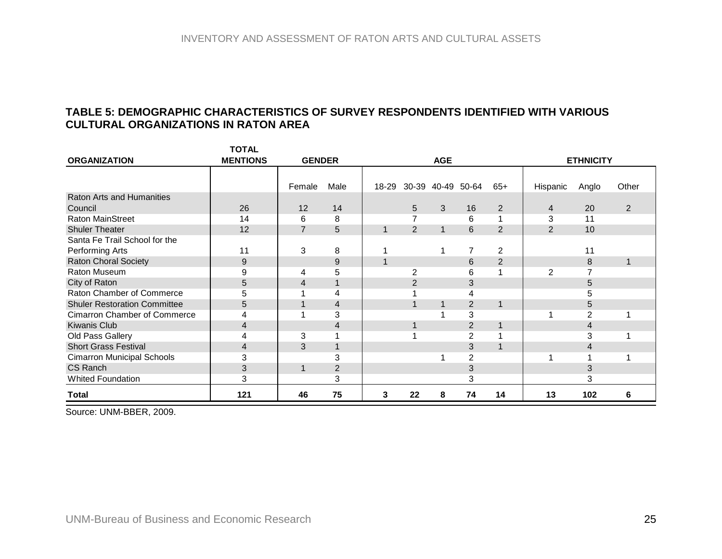# **TABLE 5: DEMOGRAPHIC CHARACTERISTICS OF SURVEY RESPONDENTS IDENTIFIED WITH VARIOUS CULTURAL ORGANIZATIONS IN RATON AREA**

**TOTAL** 

|                                     | IUIAL           |                |                  |             |    |                   |                |                |                |                  |       |
|-------------------------------------|-----------------|----------------|------------------|-------------|----|-------------------|----------------|----------------|----------------|------------------|-------|
| <b>ORGANIZATION</b>                 | <b>MENTIONS</b> | <b>GENDER</b>  |                  |             |    | <b>AGE</b>        |                |                |                | <b>ETHNICITY</b> |       |
|                                     |                 |                |                  |             |    |                   |                |                |                |                  |       |
|                                     |                 | Female         | Male             | 18-29       |    | 30-39 40-49 50-64 |                | $65+$          | Hispanic       | Anglo            | Other |
| <b>Raton Arts and Humanities</b>    |                 |                |                  |             |    |                   |                |                |                |                  |       |
| Council                             | 26              | 12             | 14               |             | 5  | 3                 | 16             | 2              | 4              | 20               | 2     |
| <b>Raton MainStreet</b>             | 14              | 6              | 8                |             | 7  |                   | 6              |                | 3              | 11               |       |
| <b>Shuler Theater</b>               | 12              | $\overline{7}$ | 5                | 1           | 2  | $\mathbf 1$       | 6              | 2              | $\overline{2}$ | 10               |       |
| Santa Fe Trail School for the       |                 |                |                  |             |    |                   |                |                |                |                  |       |
| Performing Arts                     | 11              | 3              | 8                |             |    |                   |                | 2              |                | 11               |       |
| Raton Choral Society                | 9               |                | $\boldsymbol{9}$ | $\mathbf 1$ |    |                   | 6              | $\overline{2}$ |                | 8                |       |
| Raton Museum                        | 9               | 4              | 5                |             | 2  |                   | 6              |                | 2              |                  |       |
| City of Raton                       | 5               | 4              | $\mathbf{1}$     |             | 2  |                   | 3              |                |                | 5                |       |
| Raton Chamber of Commerce           | 5               |                | 4                |             |    |                   | 4              |                |                | 5                |       |
| <b>Shuler Restoration Committee</b> | 5               |                | $\overline{4}$   |             |    |                   | $\overline{2}$ | 1              |                | 5                |       |
| <b>Cimarron Chamber of Commerce</b> | 4               |                | 3                |             |    |                   | 3              |                |                | $\overline{2}$   |       |
| <b>Kiwanis Club</b>                 | 4               |                | 4                |             |    |                   | $\overline{2}$ |                |                | 4                |       |
| Old Pass Gallery                    | 4               | 3              |                  |             |    |                   | 2              |                |                | 3                |       |
| <b>Short Grass Festival</b>         | 4               | 3              | 1                |             |    |                   | 3              |                |                | 4                |       |
| <b>Cimarron Municipal Schools</b>   | 3               |                | 3                |             |    |                   | 2              |                |                |                  |       |
| CS Ranch                            | 3               | 1              | $\overline{2}$   |             |    |                   | 3              |                |                | 3                |       |
| <b>Whited Foundation</b>            | 3               |                | 3                |             |    |                   | 3              |                |                | 3                |       |
| Total                               | 121             | 46             | 75               | 3           | 22 | 8                 | 74             | 14             | 13             | 102              | 6     |

<span id="page-24-0"></span>Source: UNM-BBER, 2009.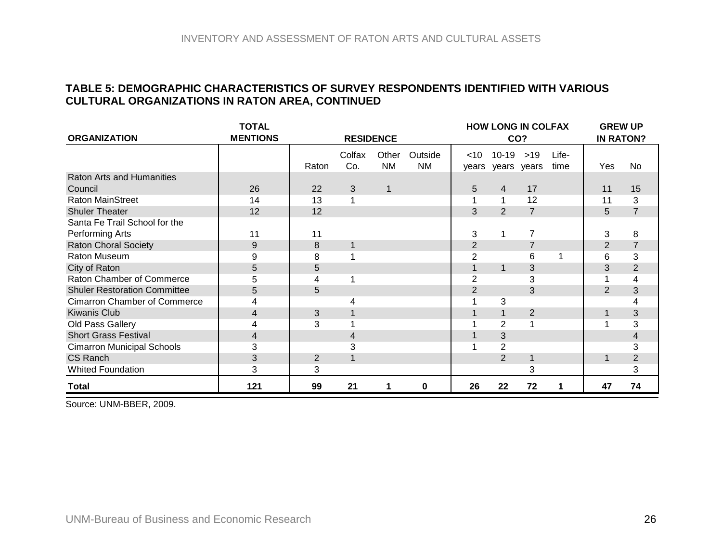#### **TABLE 5: DEMOGRAPHIC CHARACTERISTICS OF SURVEY RESPONDENTS IDENTIFIED WITH VARIOUS CULTURAL ORGANIZATIONS IN RATON AREA, CONTINUED**

|                                     | <b>TOTAL</b>    |                |                  |                    |                      |                |                                | <b>HOW LONG IN COLFAX</b> |               | <b>GREW UP</b>   |                |
|-------------------------------------|-----------------|----------------|------------------|--------------------|----------------------|----------------|--------------------------------|---------------------------|---------------|------------------|----------------|
| <b>ORGANIZATION</b>                 | <b>MENTIONS</b> |                | <b>RESIDENCE</b> |                    |                      |                |                                | CO?                       |               | <b>IN RATON?</b> |                |
|                                     |                 | Raton          | Colfax<br>Co.    | Other<br><b>NM</b> | Outside<br><b>NM</b> | $<$ 10         | $10 - 19$<br>years years years | $>19$                     | Life-<br>time | Yes              | No             |
| <b>Raton Arts and Humanities</b>    |                 |                |                  |                    |                      |                |                                |                           |               |                  |                |
| Council                             | 26              | 22             | 3                | $\mathbf 1$        |                      | 5              | 4                              | 17                        |               | 11               | 15             |
| <b>Raton MainStreet</b>             | 14              | 13             |                  |                    |                      |                |                                | 12                        |               | 11               | 3              |
| <b>Shuler Theater</b>               | 12              | 12             |                  |                    |                      | 3              | 2                              | $\overline{7}$            |               | 5                | $\overline{7}$ |
| Santa Fe Trail School for the       |                 |                |                  |                    |                      |                |                                |                           |               |                  |                |
| Performing Arts                     | 11              | 11             |                  |                    |                      | 3              |                                | $\overline{7}$            |               | 3                | 8              |
| <b>Raton Choral Society</b>         | 9               | 8              | 1                |                    |                      | $\overline{2}$ |                                |                           |               | $\overline{2}$   | $\overline{7}$ |
| Raton Museum                        | 9               | 8              |                  |                    |                      | 2              |                                | 6                         |               | 6                | 3              |
| City of Raton                       | 5               | 5              |                  |                    |                      |                | 1                              | 3                         |               | 3                | $\overline{2}$ |
| Raton Chamber of Commerce           | 5               | 4              |                  |                    |                      | $\overline{2}$ |                                | 3                         |               | 1                | 4              |
| <b>Shuler Restoration Committee</b> | 5               | 5              |                  |                    |                      | $\overline{2}$ |                                | 3                         |               | $\overline{2}$   | 3              |
| <b>Cimarron Chamber of Commerce</b> | 4               |                | 4                |                    |                      |                | 3                              |                           |               |                  | 4              |
| <b>Kiwanis Club</b>                 | $\overline{4}$  | 3              |                  |                    |                      |                |                                | 2                         |               | 1                | 3              |
| Old Pass Gallery                    | 4               | 3              |                  |                    |                      |                | 2                              |                           |               |                  | 3              |
| <b>Short Grass Festival</b>         | 4               |                | 4                |                    |                      |                | 3                              |                           |               |                  | 4              |
| <b>Cimarron Municipal Schools</b>   | 3               |                | 3                |                    |                      |                | $\overline{2}$                 |                           |               |                  | 3              |
| CS Ranch                            | 3               | $\overline{2}$ |                  |                    |                      |                | 2                              |                           |               | 1                | $\overline{2}$ |
| <b>Whited Foundation</b>            | 3               | 3              |                  |                    |                      |                |                                | 3                         |               |                  | 3              |
| <b>Total</b>                        | 121             | 99             | 21               | 1                  | 0                    | 26             | 22                             | 72                        | 1             | 47               | 74             |

Source: UNM-BBER, 2009.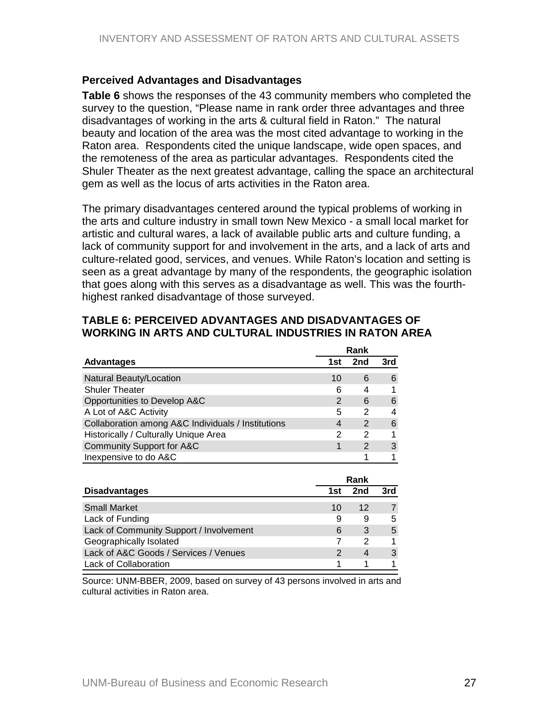#### <span id="page-26-0"></span>**Perceived Advantages and Disadvantages**

**Table 6** shows the responses of the 43 community members who completed the survey to the question, "Please name in rank order three advantages and three disadvantages of working in the arts & cultural field in Raton." The natural beauty and location of the area was the most cited advantage to working in the Raton area. Respondents cited the unique landscape, wide open spaces, and the remoteness of the area as particular advantages. Respondents cited the Shuler Theater as the next greatest advantage, calling the space an architectural gem as well as the locus of arts activities in the Raton area.

The primary disadvantages centered around the typical problems of working in the arts and culture industry in small town New Mexico - a small local market for artistic and cultural wares, a lack of available public arts and culture funding, a lack of community support for and involvement in the arts, and a lack of arts and culture-related good, services, and venues. While Raton's location and setting is seen as a great advantage by many of the respondents, the geographic isolation that goes along with this serves as a disadvantage as well. This was the fourthhighest ranked disadvantage of those surveyed.

#### **TABLE 6: PERCEIVED ADVANTAGES AND DISADVANTAGES OF WORKING IN ARTS AND CULTURAL INDUSTRIES IN RATON AREA**

|                                                    |     | Rank          |     |
|----------------------------------------------------|-----|---------------|-----|
| <b>Advantages</b>                                  | 1st | 2nd           | 3rd |
| Natural Beauty/Location                            | 10  | 6             | 6   |
| <b>Shuler Theater</b>                              | 6   | 4             |     |
| Opportunities to Develop A&C                       | 2   | 6             | 6   |
| A Lot of A&C Activity                              | 5   | 2             |     |
| Collaboration among A&C Individuals / Institutions | 4   | $\mathcal{P}$ | 6   |
| Historically / Culturally Unique Area              | 2   | 2             |     |
| Community Support for A&C                          |     | $\mathcal{P}$ | 3   |
| Inexpensive to do A&C                              |     |               |     |

|                                         |     | Rank |     |
|-----------------------------------------|-----|------|-----|
| <b>Disadvantages</b>                    | 1st | 2nd  | 3rd |
| <b>Small Market</b>                     | 10  | 12   |     |
| Lack of Funding                         | 9   | 9    | 5   |
| Lack of Community Support / Involvement | 6   | 3    | 5   |
| Geographically Isolated                 |     |      |     |
| Lack of A&C Goods / Services / Venues   |     |      | 3   |
| <b>Lack of Collaboration</b>            |     |      |     |

Source: UNM-BBER, 2009, based on survey of 43 persons involved in arts and cultural activities in Raton area.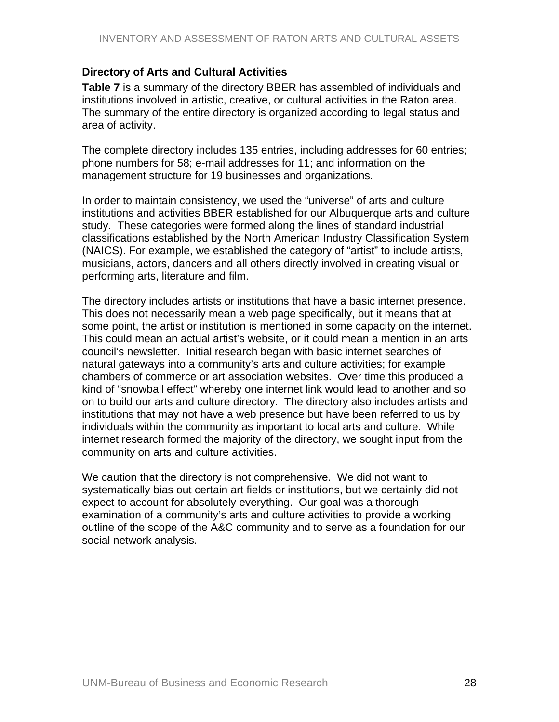## <span id="page-27-0"></span>**Directory of Arts and Cultural Activities**

**Table 7** is a summary of the directory BBER has assembled of individuals and institutions involved in artistic, creative, or cultural activities in the Raton area. The summary of the entire directory is organized according to legal status and area of activity.

The complete directory includes 135 entries, including addresses for 60 entries; phone numbers for 58; e-mail addresses for 11; and information on the management structure for 19 businesses and organizations.

In order to maintain consistency, we used the "universe" of arts and culture institutions and activities BBER established for our Albuquerque arts and culture study. These categories were formed along the lines of standard industrial classifications established by the North American Industry Classification System (NAICS). For example, we established the category of "artist" to include artists, musicians, actors, dancers and all others directly involved in creating visual or performing arts, literature and film.

The directory includes artists or institutions that have a basic internet presence. This does not necessarily mean a web page specifically, but it means that at some point, the artist or institution is mentioned in some capacity on the internet. This could mean an actual artist's website, or it could mean a mention in an arts council's newsletter. Initial research began with basic internet searches of natural gateways into a community's arts and culture activities; for example chambers of commerce or art association websites. Over time this produced a kind of "snowball effect" whereby one internet link would lead to another and so on to build our arts and culture directory. The directory also includes artists and institutions that may not have a web presence but have been referred to us by individuals within the community as important to local arts and culture. While internet research formed the majority of the directory, we sought input from the community on arts and culture activities.

We caution that the directory is not comprehensive. We did not want to systematically bias out certain art fields or institutions, but we certainly did not expect to account for absolutely everything. Our goal was a thorough examination of a community's arts and culture activities to provide a working outline of the scope of the A&C community and to serve as a foundation for our social network analysis.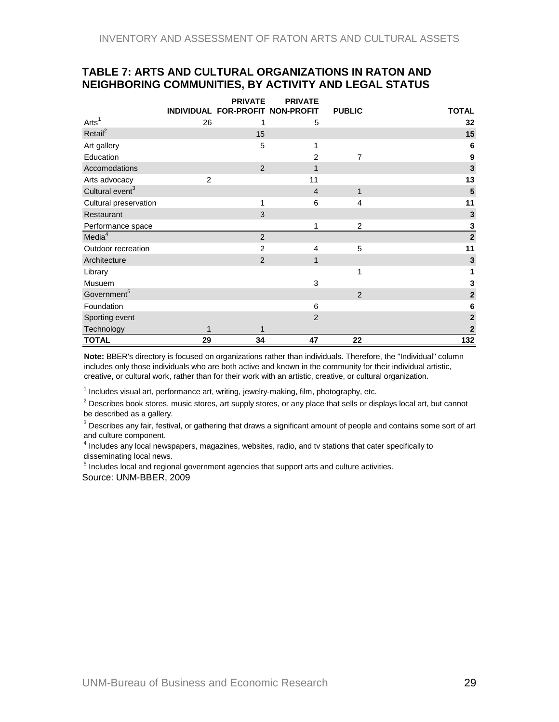#### <span id="page-28-0"></span>**TABLE 7: ARTS AND CULTURAL ORGANIZATIONS IN RATON AND NEIGHBORING COMMUNITIES, BY ACTIVITY AND LEGAL STATUS**

|                             |                | <b>PRIVATE</b>                   | <b>PRIVATE</b> |                |                         |
|-----------------------------|----------------|----------------------------------|----------------|----------------|-------------------------|
|                             |                | INDIVIDUAL FOR-PROFIT NON-PROFIT |                | <b>PUBLIC</b>  | <b>TOTAL</b>            |
| Arts <sup>1</sup>           | 26             | 1                                | 5              |                | 32                      |
| Retail <sup>2</sup>         |                | 15                               |                |                | 15                      |
| Art gallery                 |                | 5                                | 1              |                | 6                       |
| Education                   |                |                                  | $\overline{2}$ | 7              | $\boldsymbol{9}$        |
| Accomodations               |                | 2                                | 1              |                | $\overline{\mathbf{3}}$ |
| Arts advocacy               | $\overline{2}$ |                                  | 11             |                | 13                      |
| Cultural event <sup>3</sup> |                |                                  | $\overline{4}$ | $\mathbf{1}$   | $\overline{\mathbf{5}}$ |
| Cultural preservation       |                | 1                                | 6              | 4              | 11                      |
| Restaurant                  |                | 3                                |                |                | $\mathbf 3$             |
| Performance space           |                |                                  | 1              | 2              | $\overline{\mathbf{3}}$ |
| Media <sup>4</sup>          |                | 2                                |                |                | $\overline{2}$          |
| Outdoor recreation          |                | $\overline{2}$                   | 4              | 5              | 11                      |
| Architecture                |                | $\overline{2}$                   | 1              |                | $\mathbf{3}$            |
| Library                     |                |                                  |                | 1              | 1                       |
| Musuem                      |                |                                  | 3              |                | ${\bf 3}$               |
| Government <sup>5</sup>     |                |                                  |                | $\overline{2}$ | $\overline{2}$          |
| Foundation                  |                |                                  | 6              |                | $\bf 6$                 |
| Sporting event              |                |                                  | $\overline{2}$ |                | $\overline{\mathbf{c}}$ |
| Technology                  |                |                                  |                |                | $\mathbf 2$             |
| <b>TOTAL</b>                | 29             | 34                               | 47             | 22             | 132                     |

**Note:** BBER's directory is focused on organizations rather than individuals. Therefore, the "Individual" column includes only those individuals who are both active and known in the community for their individual artistic, creative, or cultural work, rather than for their work with an artistic, creative, or cultural organization.

 $1$  Includes visual art, performance art, writing, jewelry-making, film, photography, etc.

 $2$  Describes book stores, music stores, art supply stores, or any place that sells or displays local art, but cannot be described as a gallery.

 $^3$  Describes any fair, festival, or gathering that draws a significant amount of people and contains some sort of art and culture component.

<sup>4</sup> Includes any local newspapers, magazines, websites, radio, and tv stations that cater specifically to disseminating local news.

 $<sup>5</sup>$  Includes local and regional government agencies that support arts and culture activities.</sup> Source: UNM-BBER, 2009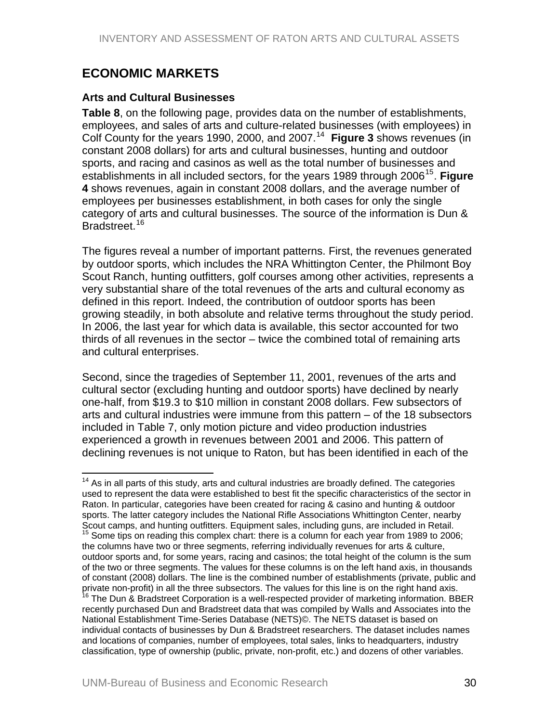# <span id="page-29-0"></span>**ECONOMIC MARKETS**

 $\overline{a}$ 

#### **Arts and Cultural Businesses**

**Table 8**, on the following page, provides data on the number of establishments, employees, and sales of arts and culture-related businesses (with employees) in Colf County for the years 1990, 2000, and 2007.[14](#page-29-0) **Figure 3** shows revenues (in constant 2008 dollars) for arts and cultural businesses, hunting and outdoor sports, and racing and casinos as well as the total number of businesses and establishments in all included sectors, for the years 1989 through 2006<sup>[15](#page-29-0)</sup>. Figure **4** shows revenues, again in constant 2008 dollars, and the average number of employees per businesses establishment, in both cases for only the single category of arts and cultural businesses. The source of the information is Dun & Bradstreet.<sup>[16](#page-29-0)</sup>

The figures reveal a number of important patterns. First, the revenues generated by outdoor sports, which includes the NRA Whittington Center, the Philmont Boy Scout Ranch, hunting outfitters, golf courses among other activities, represents a very substantial share of the total revenues of the arts and cultural economy as defined in this report. Indeed, the contribution of outdoor sports has been growing steadily, in both absolute and relative terms throughout the study period. In 2006, the last year for which data is available, this sector accounted for two thirds of all revenues in the sector – twice the combined total of remaining arts and cultural enterprises.

Second, since the tragedies of September 11, 2001, revenues of the arts and cultural sector (excluding hunting and outdoor sports) have declined by nearly one-half, from \$19.3 to \$10 million in constant 2008 dollars. Few subsectors of arts and cultural industries were immune from this pattern – of the 18 subsectors included in Table 7, only motion picture and video production industries experienced a growth in revenues between 2001 and 2006. This pattern of declining revenues is not unique to Raton, but has been identified in each of the

 $14$  As in all parts of this study, arts and cultural industries are broadly defined. The categories used to represent the data were established to best fit the specific characteristics of the sector in Raton. In particular, categories have been created for racing & casino and hunting & outdoor sports. The latter category includes the National Rifle Associations Whittington Center, nearby Scout camps, and hunting outfitters. Equipment sales, including guns, are included in Retail.  $15$  Some tips on reading this complex chart: there is a column for each year from 1989 to 2006; the columns have two or three segments, referring individually revenues for arts & culture, outdoor sports and, for some years, racing and casinos; the total height of the column is the sum of the two or three segments. The values for these columns is on the left hand axis, in thousands of constant (2008) dollars. The line is the combined number of establishments (private, public and private non-profit) in all the three subsectors. The values for this line is on the right hand axis.<br><sup>16</sup> The Dun & Bradstreet Corporation is a well-respected provider of marketing information. BBER recently purchased Dun and Bradstreet data that was compiled by Walls and Associates into the National Establishment Time-Series Database (NETS)©. The NETS dataset is based on individual contacts of businesses by Dun & Bradstreet researchers. The dataset includes names and locations of companies, number of employees, total sales, links to headquarters, industry classification, type of ownership (public, private, non-profit, etc.) and dozens of other variables.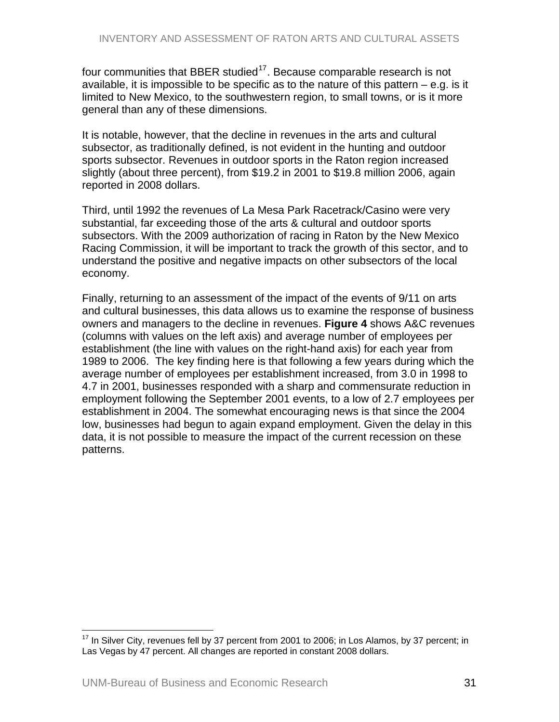<span id="page-30-0"></span>four communities that BBER studied $17$ . Because comparable research is not available, it is impossible to be specific as to the nature of this pattern  $-$  e.g. is it limited to New Mexico, to the southwestern region, to small towns, or is it more general than any of these dimensions.

It is notable, however, that the decline in revenues in the arts and cultural subsector, as traditionally defined, is not evident in the hunting and outdoor sports subsector. Revenues in outdoor sports in the Raton region increased slightly (about three percent), from \$19.2 in 2001 to \$19.8 million 2006, again reported in 2008 dollars.

Third, until 1992 the revenues of La Mesa Park Racetrack/Casino were very substantial, far exceeding those of the arts & cultural and outdoor sports subsectors. With the 2009 authorization of racing in Raton by the New Mexico Racing Commission, it will be important to track the growth of this sector, and to understand the positive and negative impacts on other subsectors of the local economy.

Finally, returning to an assessment of the impact of the events of 9/11 on arts and cultural businesses, this data allows us to examine the response of business owners and managers to the decline in revenues. **Figure 4** shows A&C revenues (columns with values on the left axis) and average number of employees per establishment (the line with values on the right-hand axis) for each year from 1989 to 2006. The key finding here is that following a few years during which the average number of employees per establishment increased, from 3.0 in 1998 to 4.7 in 2001, businesses responded with a sharp and commensurate reduction in employment following the September 2001 events, to a low of 2.7 employees per establishment in 2004. The somewhat encouraging news is that since the 2004 low, businesses had begun to again expand employment. Given the delay in this data, it is not possible to measure the impact of the current recession on these patterns.

<sup>1</sup>  $17$  In Silver City, revenues fell by 37 percent from 2001 to 2006; in Los Alamos, by 37 percent; in Las Vegas by 47 percent. All changes are reported in constant 2008 dollars.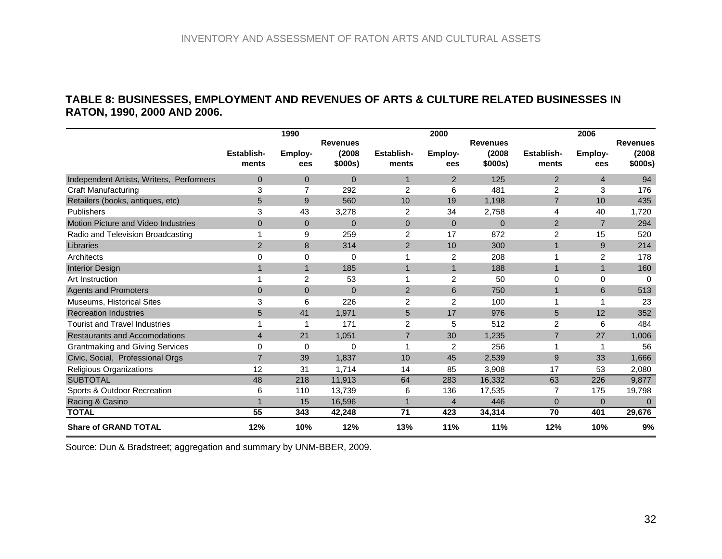#### **TABLE 8: BUSINESSES, EMPLOYMENT AND REVENUES OF ARTS & CULTURE RELATED BUSINESSES IN RATON, 1990, 2000 AND 2006.**

|                                          |                     | 1990           |                                      |                     | 2000           |                                      |                            | 2006           |                                      |
|------------------------------------------|---------------------|----------------|--------------------------------------|---------------------|----------------|--------------------------------------|----------------------------|----------------|--------------------------------------|
|                                          | Establish-<br>ments | Employ-<br>ees | <b>Revenues</b><br>(2008)<br>\$000s) | Establish-<br>ments | Employ-<br>ees | <b>Revenues</b><br>(2008)<br>\$000s) | <b>Establish-</b><br>ments | Employ-<br>ees | <b>Revenues</b><br>(2008)<br>\$000s) |
| Independent Artists, Writers, Performers | $\overline{0}$      | $\overline{0}$ | $\mathbf{0}$                         | $\overline{1}$      | 2              | 125                                  | $\overline{2}$             | $\overline{4}$ | 94                                   |
| Craft Manufacturing                      | 3                   | $\overline{7}$ | 292                                  | $\overline{2}$      | 6              | 481                                  | $\overline{2}$             | 3              | 176                                  |
| Retailers (books, antiques, etc)         | 5                   | 9              | 560                                  | 10                  | 19             | 1,198                                | $\overline{7}$             | 10             | 435                                  |
| <b>Publishers</b>                        | 3                   | 43             | 3,278                                | $\overline{2}$      | 34             | 2,758                                | 4                          | 40             | 1,720                                |
| Motion Picture and Video Industries      | $\overline{0}$      | $\mathbf{0}$   | $\mathbf{0}$                         | $\mathbf{0}$        | $\mathbf{0}$   | $\mathbf{0}$                         | $\overline{2}$             | $\overline{7}$ | 294                                  |
| Radio and Television Broadcasting        | 1                   | 9              | 259                                  | $\overline{c}$      | 17             | 872                                  | 2                          | 15             | 520                                  |
| Libraries                                | 2                   | 8              | 314                                  | 2                   | 10             | 300                                  | $\mathbf{1}$               | $9\,$          | 214                                  |
| Architects                               | 0                   | 0              | 0                                    |                     | 2              | 208                                  | 1                          | 2              | 178                                  |
| <b>Interior Design</b>                   | $\mathbf 1$         | $\mathbf{1}$   | 185                                  | 1                   | $\mathbf{1}$   | 188                                  | $\mathbf{1}$               | $\mathbf{1}$   | 160                                  |
| Art Instruction                          |                     | $\overline{2}$ | 53                                   |                     | $\overline{2}$ | 50                                   | 0                          | 0              | $\Omega$                             |
| <b>Agents and Promoters</b>              | $\overline{0}$      | $\overline{0}$ | $\mathbf{0}$                         | 2                   | 6              | 750                                  | $\mathbf{1}$               | 6              | 513                                  |
| <b>Museums, Historical Sites</b>         | 3                   | 6              | 226                                  | $\overline{2}$      | 2              | 100                                  | 1                          |                | 23                                   |
| <b>Recreation Industries</b>             | 5                   | 41             | 1,971                                | 5                   | 17             | 976                                  | 5                          | 12             | 352                                  |
| <b>Tourist and Travel Industries</b>     | 1                   | 1              | 171                                  | $\overline{2}$      | 5              | 512                                  | 2                          | 6              | 484                                  |
| <b>Restaurants and Accomodations</b>     | $\overline{4}$      | 21             | 1,051                                | $\overline{7}$      | 30             | 1,235                                | $\overline{7}$             | 27             | 1,006                                |
| <b>Grantmaking and Giving Services</b>   | 0                   | $\mathbf 0$    | 0                                    |                     | 2              | 256                                  | 1                          |                | 56                                   |
| Civic, Social, Professional Orgs         | $\overline{7}$      | 39             | 1,837                                | 10                  | 45             | 2,539                                | 9                          | 33             | 1,666                                |
| Religious Organizations                  | 12                  | 31             | 1,714                                | 14                  | 85             | 3,908                                | 17                         | 53             | 2,080                                |
| <b>SUBTOTAL</b>                          | 48                  | 218            | 11,913                               | 64                  | 283            | 16,332                               | 63                         | 226            | 9,877                                |
| Sports & Outdoor Recreation              | 6                   | 110            | 13,739                               | 6                   | 136            | 17,535                               | $\overline{7}$             | 175            | 19,798                               |
| Racing & Casino                          | 1                   | 15             | 16,596                               |                     | $\overline{4}$ | 446                                  | $\overline{0}$             | $\mathbf{0}$   | $\Omega$                             |
| <b>TOTAL</b>                             | 55                  | 343            | 42,248                               | 71                  | 423            | 34,314                               | 70                         | 401            | 29,676                               |
| <b>Share of GRAND TOTAL</b>              | 12%                 | 10%            | 12%                                  | 13%                 | 11%            | 11%                                  | 12%                        | 10%            | 9%                                   |

<span id="page-31-0"></span>Source: Dun & Bradstreet; aggregation and summary by UNM-BBER, 2009.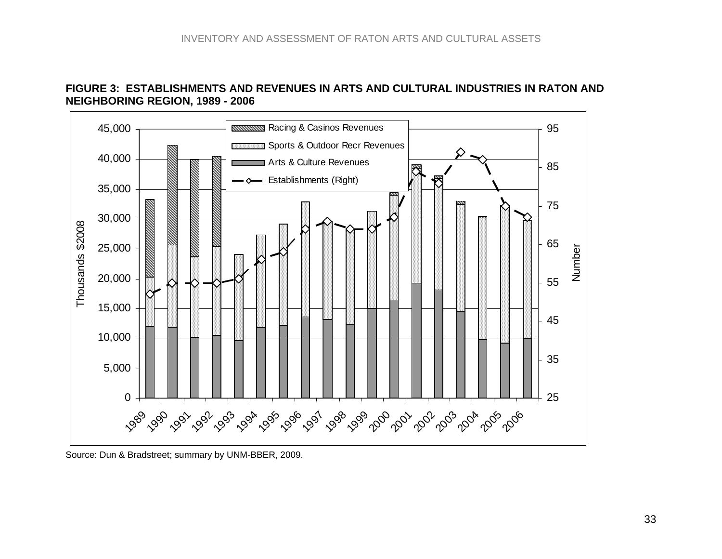



<span id="page-32-0"></span>Source: Dun & Bradstreet; summary by UNM-BBER, 2009.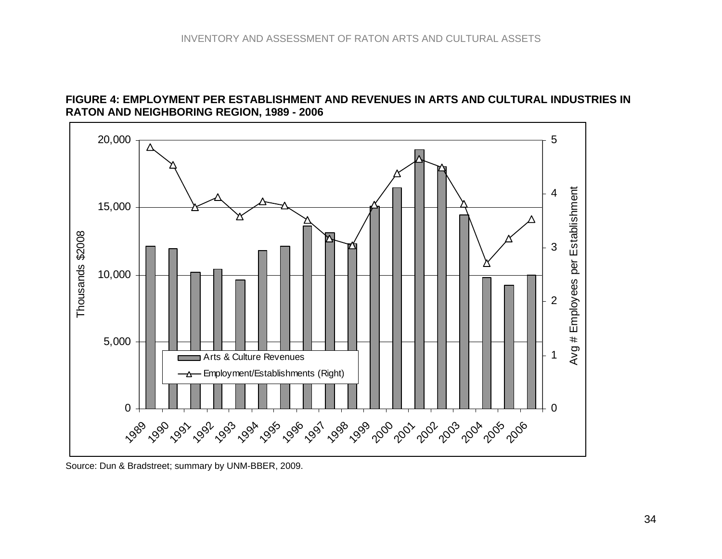#### **FIGURE 4: EMPLOYMENT PER ESTABLISHMENT AND REVENUES IN ARTS AND CULTURAL INDUSTRIES IN RATON AND NEIGHBORING REGION, 1989 - 2006**



<span id="page-33-0"></span>Source: Dun & Bradstreet; summary by UNM-BBER, 2009.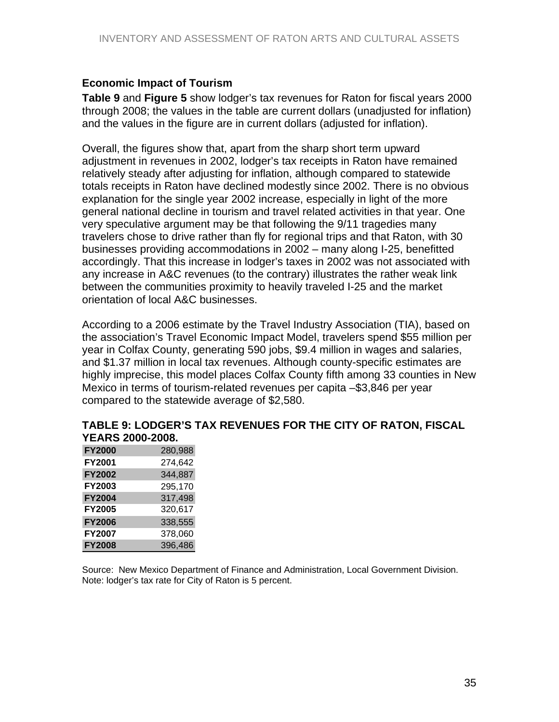# <span id="page-34-0"></span>**Economic Impact of Tourism**

**Table 9** and **Figure 5** show lodger's tax revenues for Raton for fiscal years 2000 through 2008; the values in the table are current dollars (unadjusted for inflation) and the values in the figure are in current dollars (adjusted for inflation).

Overall, the figures show that, apart from the sharp short term upward adjustment in revenues in 2002, lodger's tax receipts in Raton have remained relatively steady after adjusting for inflation, although compared to statewide totals receipts in Raton have declined modestly since 2002. There is no obvious explanation for the single year 2002 increase, especially in light of the more general national decline in tourism and travel related activities in that year. One very speculative argument may be that following the 9/11 tragedies many travelers chose to drive rather than fly for regional trips and that Raton, with 30 businesses providing accommodations in 2002 – many along I-25, benefitted accordingly. That this increase in lodger's taxes in 2002 was not associated with any increase in A&C revenues (to the contrary) illustrates the rather weak link between the communities proximity to heavily traveled I-25 and the market orientation of local A&C businesses.

According to a 2006 estimate by the Travel Industry Association (TIA), based on the association's Travel Economic Impact Model, travelers spend \$55 million per year in Colfax County, generating 590 jobs, \$9.4 million in wages and salaries, and \$1.37 million in local tax revenues. Although county-specific estimates are highly imprecise, this model places Colfax County fifth among 33 counties in New Mexico in terms of tourism-related revenues per capita –\$3,846 per year compared to the statewide average of \$2,580.

#### **TABLE 9: LODGER'S TAX REVENUES FOR THE CITY OF RATON, FISCAL YEARS 2000-2008.**

| <b>FY2000</b> | 280,988 |
|---------------|---------|
| <b>FY2001</b> | 274,642 |
| <b>FY2002</b> | 344,887 |
| <b>FY2003</b> | 295,170 |
| <b>FY2004</b> | 317,498 |
| <b>FY2005</b> | 320,617 |
| <b>FY2006</b> | 338,555 |
| <b>FY2007</b> | 378,060 |
| <b>FY2008</b> | 396,486 |

Source: New Mexico Department of Finance and Administration, Local Government Division. Note: lodger's tax rate for City of Raton is 5 percent.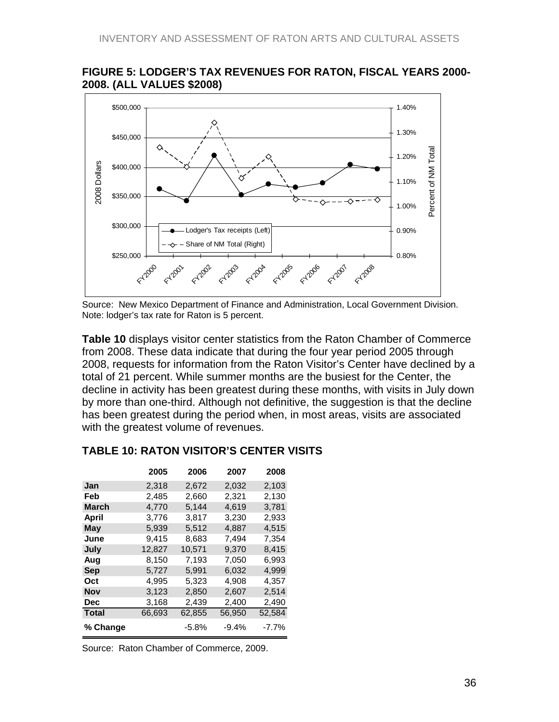

#### <span id="page-35-0"></span>**FIGURE 5: LODGER'S TAX REVENUES FOR RATON, FISCAL YEARS 2000- 2008. (ALL VALUES \$2008)**

Source: New Mexico Department of Finance and Administration, Local Government Division. Note: lodger's tax rate for Raton is 5 percent.

**Table 10** displays visitor center statistics from the Raton Chamber of Commerce from 2008. These data indicate that during the four year period 2005 through 2008, requests for information from the Raton Visitor's Center have declined by a total of 21 percent. While summer months are the busiest for the Center, the decline in activity has been greatest during these months, with visits in July down by more than one-third. Although not definitive, the suggestion is that the decline has been greatest during the period when, in most areas, visits are associated with the greatest volume of revenues.

|              | 2005   | 2006   | 2007   | 2008     |
|--------------|--------|--------|--------|----------|
| Jan          | 2,318  | 2,672  | 2,032  | 2,103    |
| Feb          | 2,485  | 2,660  | 2,321  | 2,130    |
| March        | 4,770  | 5,144  | 4,619  | 3,781    |
| April        | 3,776  | 3,817  | 3,230  | 2,933    |
| May          | 5,939  | 5,512  | 4,887  | 4,515    |
| June         | 9,415  | 8,683  | 7,494  | 7,354    |
| July         | 12,827 | 10,571 | 9,370  | 8,415    |
| Aug          | 8,150  | 7,193  | 7,050  | 6,993    |
| <b>Sep</b>   | 5,727  | 5,991  | 6,032  | 4,999    |
| Oct          | 4,995  | 5,323  | 4,908  | 4,357    |
| Nov          | 3,123  | 2,850  | 2,607  | 2,514    |
| Dec          | 3,168  | 2,439  | 2,400  | 2,490    |
| <b>Total</b> | 66,693 | 62,855 | 56,950 | 52,584   |
| % Change     |        | -5.8%  | -9.4%  | $-7.7\%$ |

## **TABLE 10: RATON VISITOR'S CENTER VISITS**

Source: Raton Chamber of Commerce, 2009.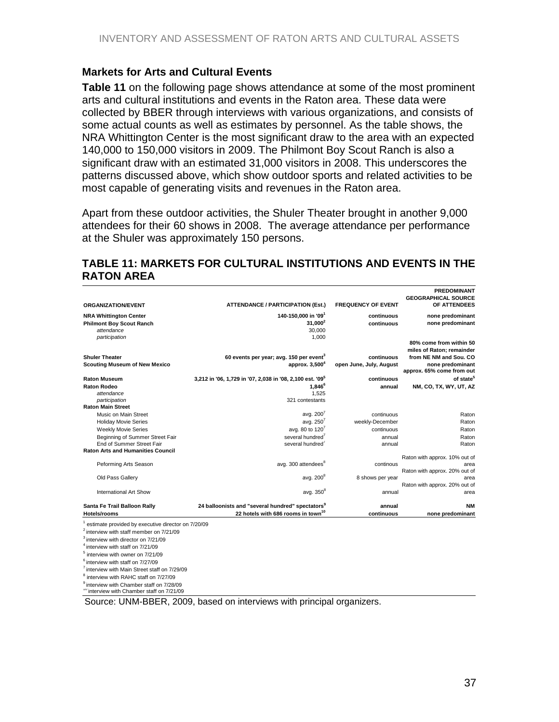#### <span id="page-36-0"></span>**Markets for Arts and Cultural Events**

**Table 11** on the following page shows attendance at some of the most prominent arts and cultural institutions and events in the Raton area. These data were collected by BBER through interviews with various organizations, and consists of some actual counts as well as estimates by personnel. As the table shows, the NRA Whittington Center is the most significant draw to the area with an expected 140,000 to 150,000 visitors in 2009. The Philmont Boy Scout Ranch is also a significant draw with an estimated 31,000 visitors in 2008. This underscores the patterns discussed above, which show outdoor sports and related activities to be most capable of generating visits and revenues in the Raton area.

Apart from these outdoor activities, the Shuler Theater brought in another 9,000 attendees for their 60 shows in 2008. The average attendance per performance at the Shuler was approximately 150 persons.

#### **TABLE 11: MARKETS FOR CULTURAL INSTITUTIONS AND EVENTS IN THE RATON AREA**

|                                                          |                                                              |                           | <b>PREDOMINANT</b>                                   |
|----------------------------------------------------------|--------------------------------------------------------------|---------------------------|------------------------------------------------------|
|                                                          |                                                              |                           | <b>GEOGRAPHICAL SOURCE</b>                           |
| <b>ORGANIZATION/EVENT</b>                                | <b>ATTENDANCE / PARTICIPATION (Est.)</b>                     | <b>FREQUENCY OF EVENT</b> | OF ATTENDEES                                         |
| <b>NRA Whittington Center</b>                            | 140-150.000 in '09 <sup>1</sup>                              | continuous                | none predominant                                     |
| <b>Philmont Boy Scout Ranch</b>                          | $31.000^2$                                                   | continuous                | none predominant                                     |
| attendance                                               | 30,000                                                       |                           |                                                      |
| participation                                            | 1.000                                                        |                           |                                                      |
|                                                          |                                                              |                           | 80% come from within 50<br>miles of Raton: remainder |
| <b>Shuler Theater</b>                                    | 60 events per year; avg. 150 per event <sup>3</sup>          | continuous                | from NE NM and Sou. CO                               |
| <b>Scouting Museum of New Mexico</b>                     | approx. 3.500 <sup>4</sup>                                   | open June, July, August   | none predominant                                     |
|                                                          |                                                              |                           | approx. 65% come from out                            |
| <b>Raton Museum</b>                                      | 3,212 in '06, 1,729 in '07, 2,038 in '08, 2,100 est. '09"    | continuous                | of state <sup>5</sup>                                |
| <b>Raton Rodeo</b>                                       | $1.846^6$                                                    | annual                    | NM, CO, TX, WY, UT, AZ                               |
| attendance                                               | 1.525                                                        |                           |                                                      |
| participation                                            | 321 contestants                                              |                           |                                                      |
| <b>Raton Main Street</b>                                 |                                                              |                           |                                                      |
| Music on Main Street                                     | avg. $200^7$                                                 | continuous                | Raton                                                |
| <b>Holiday Movie Series</b>                              | avg. $250^7$                                                 | weekly-December           | Raton                                                |
| <b>Weekly Movie Series</b>                               | avg. 80 to $120^7$                                           | continuous                | Raton                                                |
| Beginning of Summer Street Fair                          | several hundred <sup>7</sup>                                 | annual                    | Raton                                                |
| End of Summer Street Fair                                | several hundred <sup>'</sup>                                 | annual                    | Raton                                                |
| <b>Raton Arts and Humanities Council</b>                 |                                                              |                           |                                                      |
|                                                          |                                                              |                           | Raton with approx. 10% out of                        |
| Peforming Arts Season                                    | avg. 300 attendees <sup>8</sup>                              | continous                 | area                                                 |
|                                                          |                                                              |                           | Raton with approx. 20% out of                        |
| Old Pass Gallery                                         | avg. 200 <sup>8</sup>                                        | 8 shows per year          | area                                                 |
|                                                          |                                                              |                           | Raton with approx. 20% out of                        |
| International Art Show                                   | avg. $350^8$                                                 | annual                    | area                                                 |
| Santa Fe Trail Balloon Rally                             | 24 balloonists and "several hundred" spectators <sup>9</sup> | annual                    | <b>NM</b>                                            |
| <b>Hotels/rooms</b>                                      | 22 hotels with 686 rooms in town <sup>10</sup>               | continuous                | none predominant                                     |
|                                                          |                                                              |                           |                                                      |
| estimate provided by executive director on 7/20/09       |                                                              |                           |                                                      |
| $2$ interview with staff member on $7/21/09$             |                                                              |                           |                                                      |
| <sup>3</sup> interview with director on 7/21/09          |                                                              |                           |                                                      |
| <sup>4</sup> interview with staff on 7/21/09             |                                                              |                           |                                                      |
| $5$ interview with owner on $7/21/09$                    |                                                              |                           |                                                      |
| $6$ interview with staff on $7/27/09$                    |                                                              |                           |                                                      |
| <sup>7</sup> interview with Main Street staff on 7/29/09 |                                                              |                           |                                                      |
| interview with RAHC staff on 7/27/09                     |                                                              |                           |                                                      |
| <sup>9</sup> interview with Chamber staff on 7/28/09     |                                                              |                           |                                                      |

<sup>9</sup> interview with Chamber staff on 7/28/09<br><sup>10</sup> interview with Chamber staff on 7/21/09

Source: UNM-BBER, 2009, based on interviews with principal organizers.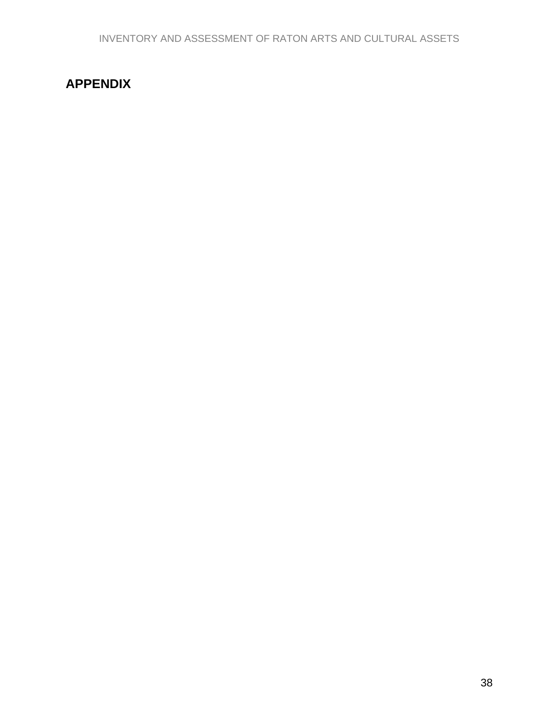# <span id="page-37-0"></span>**APPENDIX**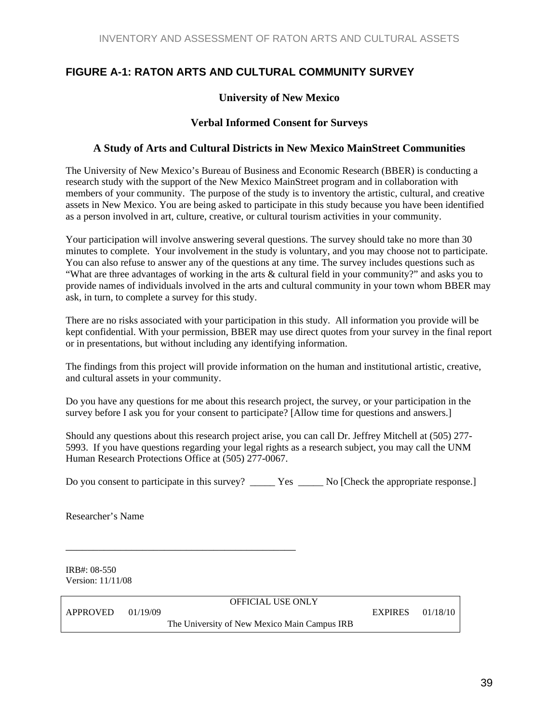# <span id="page-38-0"></span>**FIGURE A-1: RATON ARTS AND CULTURAL COMMUNITY SURVEY**

#### **University of New Mexico**

#### **Verbal Informed Consent for Surveys**

#### **A Study of Arts and Cultural Districts in New Mexico MainStreet Communities**

The University of New Mexico's Bureau of Business and Economic Research (BBER) is conducting a research study with the support of the New Mexico MainStreet program and in collaboration with members of your community. The purpose of the study is to inventory the artistic, cultural, and creative assets in New Mexico. You are being asked to participate in this study because you have been identified as a person involved in art, culture, creative, or cultural tourism activities in your community.

Your participation will involve answering several questions. The survey should take no more than 30 minutes to complete. Your involvement in the study is voluntary, and you may choose not to participate. You can also refuse to answer any of the questions at any time. The survey includes questions such as "What are three advantages of working in the arts & cultural field in your community?" and asks you to provide names of individuals involved in the arts and cultural community in your town whom BBER may ask, in turn, to complete a survey for this study.

There are no risks associated with your participation in this study. All information you provide will be kept confidential. With your permission, BBER may use direct quotes from your survey in the final report or in presentations, but without including any identifying information.

The findings from this project will provide information on the human and institutional artistic, creative, and cultural assets in your community.

Do you have any questions for me about this research project, the survey, or your participation in the survey before I ask you for your consent to participate? [Allow time for questions and answers.]

Should any questions about this research project arise, you can call Dr. Jeffrey Mitchell at (505) 277- 5993. If you have questions regarding your legal rights as a research subject, you may call the UNM Human Research Protections Office at (505) 277-0067.

Do you consent to participate in this survey? \_\_\_\_\_\_\_ Yes \_\_\_\_\_\_ No [Check the appropriate response.]

Researcher's Name

IRB#: 08-550 Version: 11/11/08

\_\_\_\_\_\_\_\_\_\_\_\_\_\_\_\_\_\_\_\_\_\_\_\_\_\_\_\_\_\_\_\_\_\_\_\_\_\_\_\_\_\_

OFFICIAL USE ONLY

APPROVED 01/19/09 EXPIRES 01/18/10

The University of New Mexico Main Campus IRB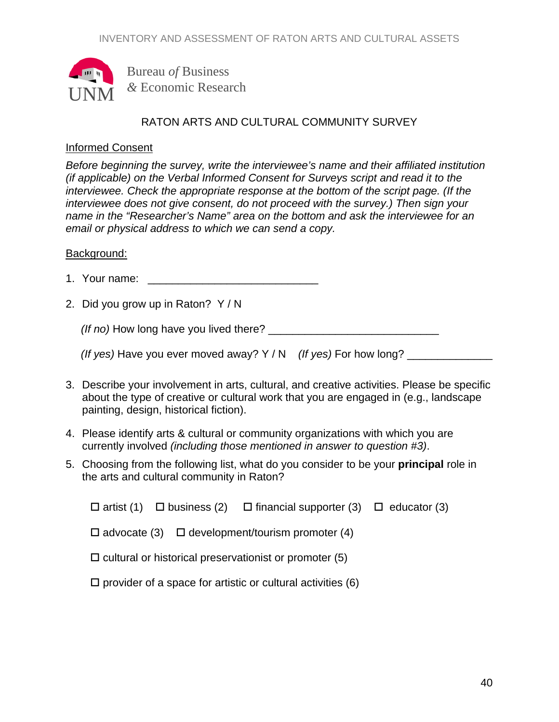

Bureau *of* Business *&* Economic Research

# RATON ARTS AND CULTURAL COMMUNITY SURVEY

## Informed Consent

*Before beginning the survey, write the interviewee's name and their affiliated institution (if applicable) on the Verbal Informed Consent for Surveys script and read it to the interviewee. Check the appropriate response at the bottom of the script page. (If the interviewee does not give consent, do not proceed with the survey.) Then sign your name in the "Researcher's Name" area on the bottom and ask the interviewee for an email or physical address to which we can send a copy.* 

#### Background:

- 1. Your name: \_\_\_\_\_\_\_\_\_\_\_\_\_\_\_\_\_\_\_\_\_\_\_\_\_\_\_\_
- 2. Did you grow up in Raton? Y / N

 *(If no)* How long have you lived there? \_\_\_\_\_\_\_\_\_\_\_\_\_\_\_\_\_\_\_\_\_\_\_\_\_\_\_\_

| (If yes) Have you ever moved away? $Y/N$ (If yes) For how long? |  |  |
|-----------------------------------------------------------------|--|--|
|                                                                 |  |  |

- 3. Describe your involvement in arts, cultural, and creative activities. Please be specific about the type of creative or cultural work that you are engaged in (e.g., landscape painting, design, historical fiction).
- 4. Please identify arts & cultural or community organizations with which you are currently involved *(including those mentioned in answer to question #3)*.
- 5. Choosing from the following list, what do you consider to be your **principal** role in the arts and cultural community in Raton?

|  | $\Box$ artist (1) $\Box$ business (2) $\Box$ financial supporter (3) $\Box$ educator (3) |  |
|--|------------------------------------------------------------------------------------------|--|
|  | $\Box$ advocate (3) $\Box$ development/tourism promoter (4)                              |  |
|  | $\Box$ cultural or historical preservationist or promoter (5)                            |  |
|  | $\Box$ provider of a space for artistic or cultural activities (6)                       |  |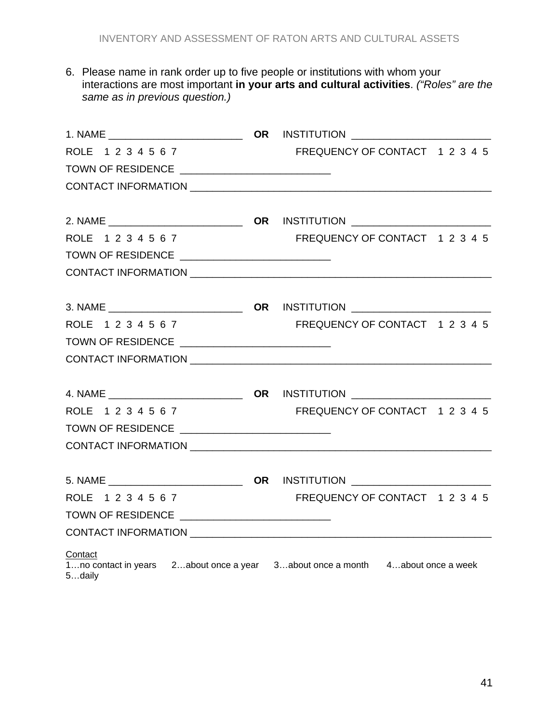6. Please name in rank order up to five people or institutions with whom your interactions are most important **in your arts and cultural activities**. *("Roles" are the same as in previous question.)*

| ROLE 1234567                                                                                        | FREQUENCY OF CONTACT 1 2 3 4 5 |  |
|-----------------------------------------------------------------------------------------------------|--------------------------------|--|
| TOWN OF RESIDENCE _______________________________                                                   |                                |  |
|                                                                                                     |                                |  |
|                                                                                                     |                                |  |
|                                                                                                     |                                |  |
| ROLE 1234567                                                                                        | FREQUENCY OF CONTACT 1 2 3 4 5 |  |
| TOWN OF RESIDENCE ______________________________                                                    |                                |  |
|                                                                                                     |                                |  |
|                                                                                                     |                                |  |
| ROLE 1234567                                                                                        | FREQUENCY OF CONTACT 1 2 3 4 5 |  |
|                                                                                                     |                                |  |
|                                                                                                     |                                |  |
|                                                                                                     |                                |  |
|                                                                                                     |                                |  |
| ROLE 1234567                                                                                        | FREQUENCY OF CONTACT 12345     |  |
| TOWN OF RESIDENCE ________________________________                                                  |                                |  |
|                                                                                                     |                                |  |
|                                                                                                     |                                |  |
|                                                                                                     |                                |  |
| ROLE 1234567                                                                                        | FREQUENCY OF CONTACT 1 2 3 4 5 |  |
| TOWN OF RESIDENCE _______________________________                                                   |                                |  |
|                                                                                                     |                                |  |
| Contact<br>1no contact in years 2about once a year 3about once a month 4about once a week<br>5daily |                                |  |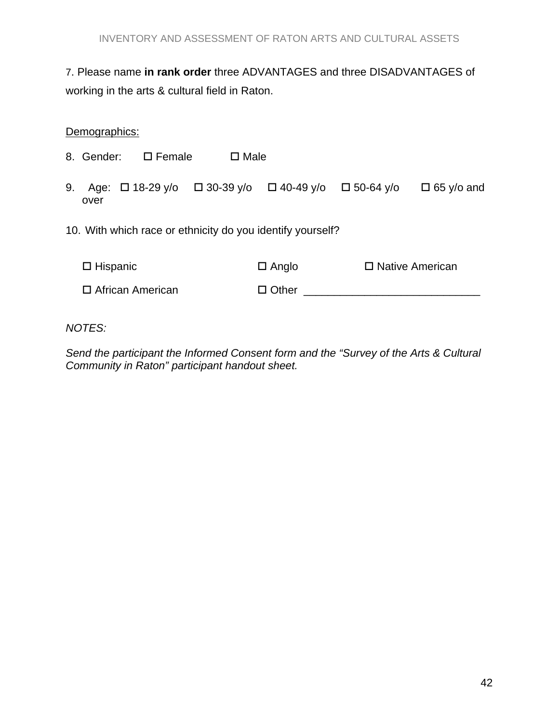# 7. Please name **in rank order** three ADVANTAGES and three DISADVANTAGES of working in the arts & cultural field in Raton.

## Demographics:

8. Gender:  $\square$  Female  $\square$  Male

- 9. Age:  $\Box$  18-29 y/o  $\Box$  30-39 y/o  $\Box$  40-49 y/o  $\Box$  50-64 y/o  $\Box$  65 y/o and over
- 10. With which race or ethnicity do you identify yourself?

| $\square$ Hispanic | $\Box$ Anglo | □ Native American |
|--------------------|--------------|-------------------|
| □ African American | $\Box$ Other |                   |

*NOTES:* 

*Send the participant the Informed Consent form and the "Survey of the Arts & Cultural Community in Raton" participant handout sheet.*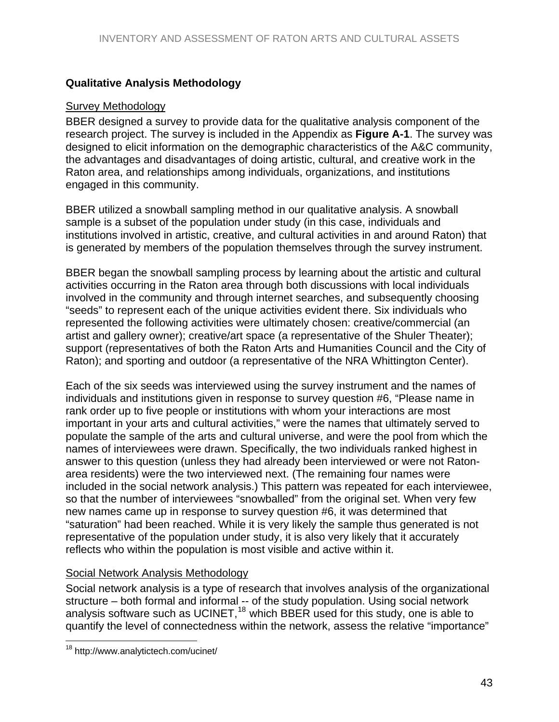# <span id="page-42-0"></span>**Qualitative Analysis Methodology**

#### Survey Methodology

BBER designed a survey to provide data for the qualitative analysis component of the research project. The survey is included in the Appendix as **Figure A-1**. The survey was designed to elicit information on the demographic characteristics of the A&C community, the advantages and disadvantages of doing artistic, cultural, and creative work in the Raton area, and relationships among individuals, organizations, and institutions engaged in this community.

BBER utilized a snowball sampling method in our qualitative analysis. A snowball sample is a subset of the population under study (in this case, individuals and institutions involved in artistic, creative, and cultural activities in and around Raton) that is generated by members of the population themselves through the survey instrument.

BBER began the snowball sampling process by learning about the artistic and cultural activities occurring in the Raton area through both discussions with local individuals involved in the community and through internet searches, and subsequently choosing "seeds" to represent each of the unique activities evident there. Six individuals who represented the following activities were ultimately chosen: creative/commercial (an artist and gallery owner); creative/art space (a representative of the Shuler Theater); support (representatives of both the Raton Arts and Humanities Council and the City of Raton); and sporting and outdoor (a representative of the NRA Whittington Center).

Each of the six seeds was interviewed using the survey instrument and the names of individuals and institutions given in response to survey question #6, "Please name in rank order up to five people or institutions with whom your interactions are most important in your arts and cultural activities," were the names that ultimately served to populate the sample of the arts and cultural universe, and were the pool from which the names of interviewees were drawn. Specifically, the two individuals ranked highest in answer to this question (unless they had already been interviewed or were not Ratonarea residents) were the two interviewed next. (The remaining four names were included in the social network analysis.) This pattern was repeated for each interviewee, so that the number of interviewees "snowballed" from the original set. When very few new names came up in response to survey question #6, it was determined that "saturation" had been reached. While it is very likely the sample thus generated is not representative of the population under study, it is also very likely that it accurately reflects who within the population is most visible and active within it.

## Social Network Analysis Methodology

Social network analysis is a type of research that involves analysis of the organizational structure – both formal and informal -- of the study population. Using social network analysis software such as UCINET,<sup>[18](#page-42-0)</sup> which BBER used for this study, one is able to quantify the level of connectedness within the network, assess the relative "importance"

 $\overline{a}$ 18 http://www.analytictech.com/ucinet/